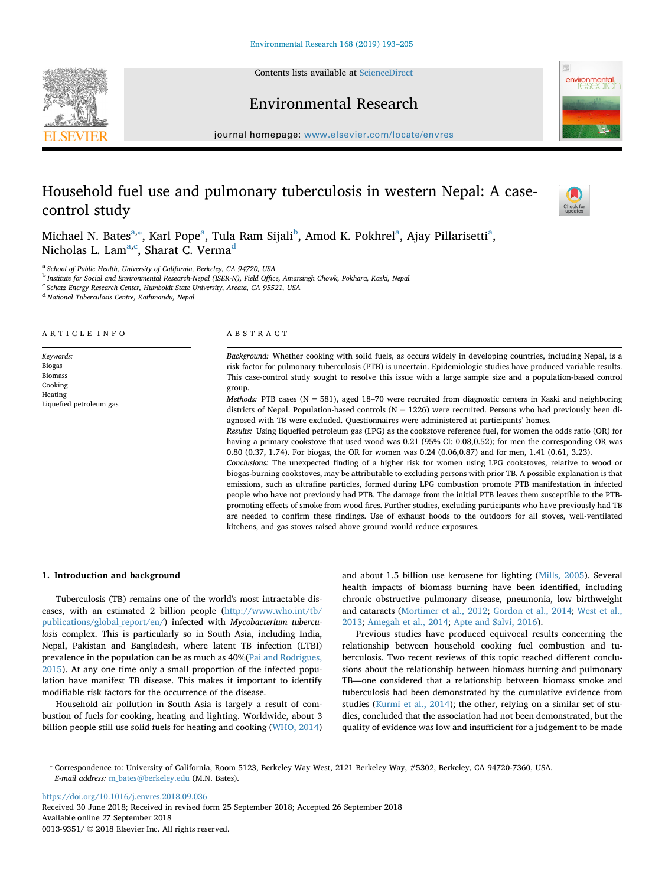Contents lists available at [ScienceDirect](http://www.sciencedirect.com/science/journal/00139351)





Environmental Research

journal homepage: [www.elsevier.com/locate/envres](https://www.elsevier.com/locate/envres)

# Household fuel use and pulmonary tuberculosis in western Nepal: A casecontrol study



Mich[a](#page-0-0)el N. Bates<sup>a,</sup>\*, Karl Pope<sup>a</sup>, Tula Ram Sijali<sup>[b](#page-0-2)</sup>, Amod K. Pokhrel<sup>a</sup>, Ajay Pillarisetti<sup>a</sup>, Nicholas L. Lam<sup>a,c</sup>, Sharat C. Ver[ma](#page-0-0)<sup>d</sup>

<span id="page-0-0"></span><sup>a</sup> *School of Public Health, University of California, Berkeley, CA 94720, USA*

<span id="page-0-2"></span><sup>b</sup> *Institute for Social and Environmental Research-Nepal (ISER-N), Field Office, Amarsingh Chowk, Pokhara, Kaski, Nepal*

<span id="page-0-3"></span>c *Schatz Energy Research Center, Humboldt State University, Arcata, CA 95521, USA*

<span id="page-0-4"></span><sup>d</sup> *National Tuberculosis Centre, Kathmandu, Nepal*

## ARTICLE INFO

*Keywords:* Biogas Biomass Cooking Heating Liquefied petroleum gas

# ABSTRACT

*Background:* Whether cooking with solid fuels, as occurs widely in developing countries, including Nepal, is a risk factor for pulmonary tuberculosis (PTB) is uncertain. Epidemiologic studies have produced variable results. This case-control study sought to resolve this issue with a large sample size and a population-based control group.

*Methods:* PTB cases (N = 581), aged 18–70 were recruited from diagnostic centers in Kaski and neighboring districts of Nepal. Population-based controls  $(N = 1226)$  were recruited. Persons who had previously been diagnosed with TB were excluded. Questionnaires were administered at participants' homes.

*Results:* Using liquefied petroleum gas (LPG) as the cookstove reference fuel, for women the odds ratio (OR) for having a primary cookstove that used wood was 0.21 (95% CI: 0.08,0.52); for men the corresponding OR was 0.80 (0.37, 1.74). For biogas, the OR for women was 0.24 (0.06,0.87) and for men, 1.41 (0.61, 3.23).

*Conclusions:* The unexpected finding of a higher risk for women using LPG cookstoves, relative to wood or biogas-burning cookstoves, may be attributable to excluding persons with prior TB. A possible explanation is that emissions, such as ultrafine particles, formed during LPG combustion promote PTB manifestation in infected people who have not previously had PTB. The damage from the initial PTB leaves them susceptible to the PTBpromoting effects of smoke from wood fires. Further studies, excluding participants who have previously had TB are needed to confirm these findings. Use of exhaust hoods to the outdoors for all stoves, well-ventilated kitchens, and gas stoves raised above ground would reduce exposures.

## **1. Introduction and background**

Tuberculosis (TB) remains one of the world's most intractable diseases, with an estimated 2 billion people [\(http://www.who.int/tb/](http://www.who.int/tb/publications/global_report/en/) [publications/global\\_report/en/\)](http://www.who.int/tb/publications/global_report/en/) infected with *Mycobacterium tuberculosis* complex. This is particularly so in South Asia, including India, Nepal, Pakistan and Bangladesh, where latent TB infection (LTBI) prevalence in the population can be as much as 40%[\(Pai and Rodrigues,](#page-12-0) [2015\)](#page-12-0). At any one time only a small proportion of the infected population have manifest TB disease. This makes it important to identify modifiable risk factors for the occurrence of the disease.

Household air pollution in South Asia is largely a result of combustion of fuels for cooking, heating and lighting. Worldwide, about 3 billion people still use solid fuels for heating and cooking [\(WHO, 2014\)](#page-12-1)

and about 1.5 billion use kerosene for lighting ([Mills, 2005\)](#page-12-2). Several health impacts of biomass burning have been identified, including chronic obstructive pulmonary disease, pneumonia, low birthweight and cataracts ([Mortimer et al., 2012;](#page-12-3) [Gordon et al., 2014](#page-11-0); [West et al.,](#page-12-4) [2013;](#page-12-4) [Amegah et al., 2014;](#page-11-1) [Apte and Salvi, 2016](#page-11-2)).

Previous studies have produced equivocal results concerning the relationship between household cooking fuel combustion and tuberculosis. Two recent reviews of this topic reached different conclusions about the relationship between biomass burning and pulmonary TB—one considered that a relationship between biomass smoke and tuberculosis had been demonstrated by the cumulative evidence from studies ([Kurmi et al., 2014\)](#page-12-5); the other, relying on a similar set of studies, concluded that the association had not been demonstrated, but the quality of evidence was low and insufficient for a judgement to be made

<https://doi.org/10.1016/j.envres.2018.09.036>

Received 30 June 2018; Received in revised form 25 September 2018; Accepted 26 September 2018 Available online 27 September 2018 0013-9351/ © 2018 Elsevier Inc. All rights reserved.

<span id="page-0-1"></span><sup>⁎</sup> Correspondence to: University of California, Room 5123, Berkeley Way West, 2121 Berkeley Way, #5302, Berkeley, CA 94720-7360, USA. *E-mail address:* [m\\_bates@berkeley.edu](mailto:m_bates@berkeley.edu) (M.N. Bates).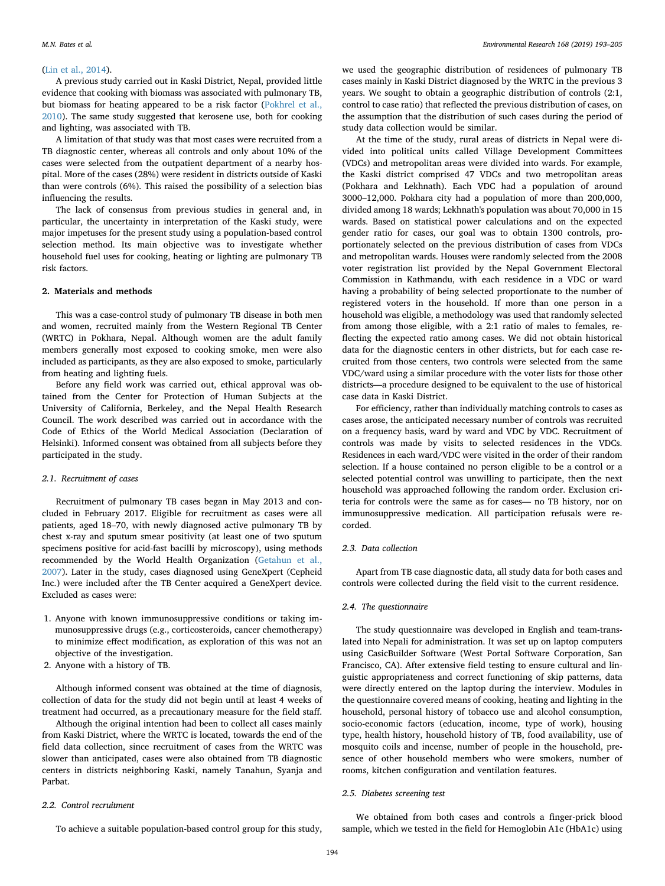## ([Lin et al., 2014](#page-12-6)).

A previous study carried out in Kaski District, Nepal, provided little evidence that cooking with biomass was associated with pulmonary TB, but biomass for heating appeared to be a risk factor [\(Pokhrel et al.,](#page-12-7) [2010\)](#page-12-7). The same study suggested that kerosene use, both for cooking and lighting, was associated with TB.

A limitation of that study was that most cases were recruited from a TB diagnostic center, whereas all controls and only about 10% of the cases were selected from the outpatient department of a nearby hospital. More of the cases (28%) were resident in districts outside of Kaski than were controls (6%). This raised the possibility of a selection bias influencing the results.

The lack of consensus from previous studies in general and, in particular, the uncertainty in interpretation of the Kaski study, were major impetuses for the present study using a population-based control selection method. Its main objective was to investigate whether household fuel uses for cooking, heating or lighting are pulmonary TB risk factors.

### **2. Materials and methods**

This was a case-control study of pulmonary TB disease in both men and women, recruited mainly from the Western Regional TB Center (WRTC) in Pokhara, Nepal. Although women are the adult family members generally most exposed to cooking smoke, men were also included as participants, as they are also exposed to smoke, particularly from heating and lighting fuels.

Before any field work was carried out, ethical approval was obtained from the Center for Protection of Human Subjects at the University of California, Berkeley, and the Nepal Health Research Council. The work described was carried out in accordance with the Code of Ethics of the World Medical Association (Declaration of Helsinki). Informed consent was obtained from all subjects before they participated in the study.

## *2.1. Recruitment of cases*

Recruitment of pulmonary TB cases began in May 2013 and concluded in February 2017. Eligible for recruitment as cases were all patients, aged 18–70, with newly diagnosed active pulmonary TB by chest x-ray and sputum smear positivity (at least one of two sputum specimens positive for acid-fast bacilli by microscopy), using methods recommended by the World Health Organization [\(Getahun et al.,](#page-11-3) [2007\)](#page-11-3). Later in the study, cases diagnosed using GeneXpert (Cepheid Inc.) were included after the TB Center acquired a GeneXpert device. Excluded as cases were:

- 1. Anyone with known immunosuppressive conditions or taking immunosuppressive drugs (e.g., corticosteroids, cancer chemotherapy) to minimize effect modification, as exploration of this was not an objective of the investigation.
- 2. Anyone with a history of TB.

Although informed consent was obtained at the time of diagnosis, collection of data for the study did not begin until at least 4 weeks of treatment had occurred, as a precautionary measure for the field staff.

Although the original intention had been to collect all cases mainly from Kaski District, where the WRTC is located, towards the end of the field data collection, since recruitment of cases from the WRTC was slower than anticipated, cases were also obtained from TB diagnostic centers in districts neighboring Kaski, namely Tanahun, Syanja and Parbat.

## *2.2. Control recruitment*

To achieve a suitable population-based control group for this study,

we used the geographic distribution of residences of pulmonary TB cases mainly in Kaski District diagnosed by the WRTC in the previous 3 years. We sought to obtain a geographic distribution of controls (2:1, control to case ratio) that reflected the previous distribution of cases, on the assumption that the distribution of such cases during the period of study data collection would be similar.

At the time of the study, rural areas of districts in Nepal were divided into political units called Village Development Committees (VDCs) and metropolitan areas were divided into wards. For example, the Kaski district comprised 47 VDCs and two metropolitan areas (Pokhara and Lekhnath). Each VDC had a population of around 3000–12,000. Pokhara city had a population of more than 200,000, divided among 18 wards; Lekhnath's population was about 70,000 in 15 wards. Based on statistical power calculations and on the expected gender ratio for cases, our goal was to obtain 1300 controls, proportionately selected on the previous distribution of cases from VDCs and metropolitan wards. Houses were randomly selected from the 2008 voter registration list provided by the Nepal Government Electoral Commission in Kathmandu, with each residence in a VDC or ward having a probability of being selected proportionate to the number of registered voters in the household. If more than one person in a household was eligible, a methodology was used that randomly selected from among those eligible, with a 2:1 ratio of males to females, reflecting the expected ratio among cases. We did not obtain historical data for the diagnostic centers in other districts, but for each case recruited from those centers, two controls were selected from the same VDC/ward using a similar procedure with the voter lists for those other districts—a procedure designed to be equivalent to the use of historical case data in Kaski District.

For efficiency, rather than individually matching controls to cases as cases arose, the anticipated necessary number of controls was recruited on a frequency basis, ward by ward and VDC by VDC. Recruitment of controls was made by visits to selected residences in the VDCs. Residences in each ward/VDC were visited in the order of their random selection. If a house contained no person eligible to be a control or a selected potential control was unwilling to participate, then the next household was approached following the random order. Exclusion criteria for controls were the same as for cases— no TB history, nor on immunosuppressive medication. All participation refusals were recorded.

## *2.3. Data collection*

Apart from TB case diagnostic data, all study data for both cases and controls were collected during the field visit to the current residence.

### *2.4. The questionnaire*

The study questionnaire was developed in English and team-translated into Nepali for administration. It was set up on laptop computers using CasicBuilder Software (West Portal Software Corporation, San Francisco, CA). After extensive field testing to ensure cultural and linguistic appropriateness and correct functioning of skip patterns, data were directly entered on the laptop during the interview. Modules in the questionnaire covered means of cooking, heating and lighting in the household, personal history of tobacco use and alcohol consumption, socio-economic factors (education, income, type of work), housing type, health history, household history of TB, food availability, use of mosquito coils and incense, number of people in the household, presence of other household members who were smokers, number of rooms, kitchen configuration and ventilation features.

## *2.5. Diabetes screening test*

We obtained from both cases and controls a finger-prick blood sample, which we tested in the field for Hemoglobin A1c (HbA1c) using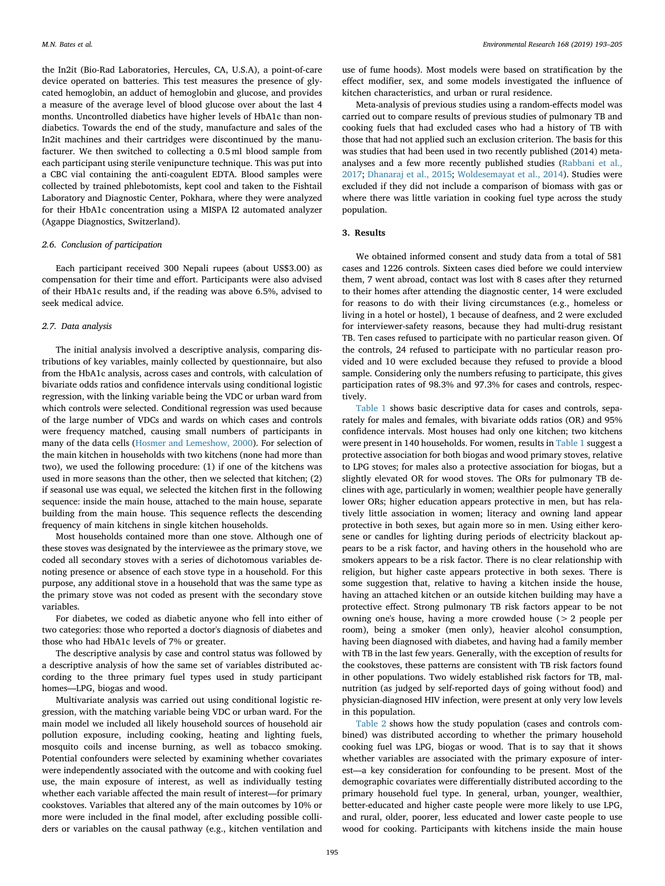the In2it (Bio-Rad Laboratories, Hercules, CA, U.S.A), a point-of-care device operated on batteries. This test measures the presence of glycated hemoglobin, an adduct of hemoglobin and glucose, and provides a measure of the average level of blood glucose over about the last 4 months. Uncontrolled diabetics have higher levels of HbA1c than nondiabetics. Towards the end of the study, manufacture and sales of the In2it machines and their cartridges were discontinued by the manufacturer. We then switched to collecting a 0.5 ml blood sample from each participant using sterile venipuncture technique. This was put into a CBC vial containing the anti-coagulent EDTA. Blood samples were collected by trained phlebotomists, kept cool and taken to the Fishtail Laboratory and Diagnostic Center, Pokhara, where they were analyzed for their HbA1c concentration using a MISPA I2 automated analyzer (Agappe Diagnostics, Switzerland).

## *2.6. Conclusion of participation*

Each participant received 300 Nepali rupees (about US\$3.00) as compensation for their time and effort. Participants were also advised of their HbA1c results and, if the reading was above 6.5%, advised to seek medical advice.

## *2.7. Data analysis*

The initial analysis involved a descriptive analysis, comparing distributions of key variables, mainly collected by questionnaire, but also from the HbA1c analysis, across cases and controls, with calculation of bivariate odds ratios and confidence intervals using conditional logistic regression, with the linking variable being the VDC or urban ward from which controls were selected. Conditional regression was used because of the large number of VDCs and wards on which cases and controls were frequency matched, causing small numbers of participants in many of the data cells [\(Hosmer and Lemeshow, 2000](#page-11-4)). For selection of the main kitchen in households with two kitchens (none had more than two), we used the following procedure: (1) if one of the kitchens was used in more seasons than the other, then we selected that kitchen; (2) if seasonal use was equal, we selected the kitchen first in the following sequence: inside the main house, attached to the main house, separate building from the main house. This sequence reflects the descending frequency of main kitchens in single kitchen households.

Most households contained more than one stove. Although one of these stoves was designated by the interviewee as the primary stove, we coded all secondary stoves with a series of dichotomous variables denoting presence or absence of each stove type in a household. For this purpose, any additional stove in a household that was the same type as the primary stove was not coded as present with the secondary stove variables.

For diabetes, we coded as diabetic anyone who fell into either of two categories: those who reported a doctor's diagnosis of diabetes and those who had HbA1c levels of 7% or greater.

The descriptive analysis by case and control status was followed by a descriptive analysis of how the same set of variables distributed according to the three primary fuel types used in study participant homes—LPG, biogas and wood.

Multivariate analysis was carried out using conditional logistic regression, with the matching variable being VDC or urban ward. For the main model we included all likely household sources of household air pollution exposure, including cooking, heating and lighting fuels, mosquito coils and incense burning, as well as tobacco smoking. Potential confounders were selected by examining whether covariates were independently associated with the outcome and with cooking fuel use, the main exposure of interest, as well as individually testing whether each variable affected the main result of interest—for primary cookstoves. Variables that altered any of the main outcomes by 10% or more were included in the final model, after excluding possible colliders or variables on the causal pathway (e.g., kitchen ventilation and

use of fume hoods). Most models were based on stratification by the effect modifier, sex, and some models investigated the influence of kitchen characteristics, and urban or rural residence.

Meta-analysis of previous studies using a random-effects model was carried out to compare results of previous studies of pulmonary TB and cooking fuels that had excluded cases who had a history of TB with those that had not applied such an exclusion criterion. The basis for this was studies that had been used in two recently published (2014) metaanalyses and a few more recently published studies ([Rabbani et al.,](#page-12-8) [2017;](#page-12-8) [Dhanaraj et al., 2015;](#page-11-5) [Woldesemayat et al., 2014\)](#page-12-9). Studies were excluded if they did not include a comparison of biomass with gas or where there was little variation in cooking fuel type across the study population.

## **3. Results**

We obtained informed consent and study data from a total of 581 cases and 1226 controls. Sixteen cases died before we could interview them, 7 went abroad, contact was lost with 8 cases after they returned to their homes after attending the diagnostic center, 14 were excluded for reasons to do with their living circumstances (e.g., homeless or living in a hotel or hostel), 1 because of deafness, and 2 were excluded for interviewer-safety reasons, because they had multi-drug resistant TB. Ten cases refused to participate with no particular reason given. Of the controls, 24 refused to participate with no particular reason provided and 10 were excluded because they refused to provide a blood sample. Considering only the numbers refusing to participate, this gives participation rates of 98.3% and 97.3% for cases and controls, respectively.

[Table 1](#page-3-0) shows basic descriptive data for cases and controls, separately for males and females, with bivariate odds ratios (OR) and 95% confidence intervals. Most houses had only one kitchen; two kitchens were present in 140 households. For women, results in [Table 1](#page-3-0) suggest a protective association for both biogas and wood primary stoves, relative to LPG stoves; for males also a protective association for biogas, but a slightly elevated OR for wood stoves. The ORs for pulmonary TB declines with age, particularly in women; wealthier people have generally lower ORs; higher education appears protective in men, but has relatively little association in women; literacy and owning land appear protective in both sexes, but again more so in men. Using either kerosene or candles for lighting during periods of electricity blackout appears to be a risk factor, and having others in the household who are smokers appears to be a risk factor. There is no clear relationship with religion, but higher caste appears protective in both sexes. There is some suggestion that, relative to having a kitchen inside the house, having an attached kitchen or an outside kitchen building may have a protective effect. Strong pulmonary TB risk factors appear to be not owning one's house, having a more crowded house (> 2 people per room), being a smoker (men only), heavier alcohol consumption, having been diagnosed with diabetes, and having had a family member with TB in the last few years. Generally, with the exception of results for the cookstoves, these patterns are consistent with TB risk factors found in other populations. Two widely established risk factors for TB, malnutrition (as judged by self-reported days of going without food) and physician-diagnosed HIV infection, were present at only very low levels in this population.

[Table 2](#page-6-0) shows how the study population (cases and controls combined) was distributed according to whether the primary household cooking fuel was LPG, biogas or wood. That is to say that it shows whether variables are associated with the primary exposure of interest—a key consideration for confounding to be present. Most of the demographic covariates were differentially distributed according to the primary household fuel type. In general, urban, younger, wealthier, better-educated and higher caste people were more likely to use LPG, and rural, older, poorer, less educated and lower caste people to use wood for cooking. Participants with kitchens inside the main house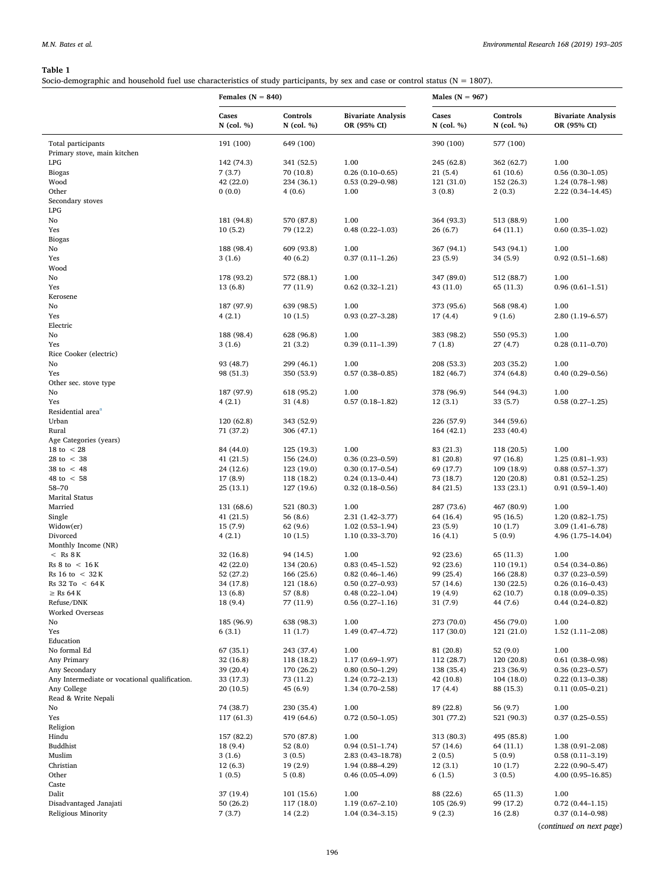# <span id="page-3-0"></span>**Table 1**

Socio-demographic and household fuel use characteristics of study participants, by sex and case or control status ( $N = 1807$ ).

| Cases<br>Controls<br><b>Bivariate Analysis</b><br>Controls<br><b>Bivariate Analysis</b><br>Cases<br>OR (95% CI)<br>N (col. %)<br>N (col. %)<br>OR (95% CI)<br>N (col. %)<br>$N$ (col. %)<br>Total participants<br>191 (100)<br>649 (100)<br>390 (100)<br>577 (100)<br>Primary stove, main kitchen<br>LPG<br>142 (74.3)<br>1.00<br>1.00<br>341 (52.5)<br>245 (62.8)<br>362 (62.7)<br><b>Biogas</b><br>7(3.7)<br>70 (10.8)<br>$0.26(0.10-0.65)$<br>21(5.4)<br>61(10.6)<br>$0.56(0.30-1.05)$<br>Wood<br>42 (22.0)<br>234 (36.1)<br>$0.53(0.29 - 0.98)$<br>121 (31.0)<br>152 (26.3)<br>$1.24(0.78 - 1.98)$<br>Other<br>0(0.0)<br>4(0.6)<br>1.00<br>3(0.8)<br>2(0.3)<br>2.22 (0.34-14.45)<br>Secondary stoves<br>LPG<br>No<br>181 (94.8)<br>570 (87.8)<br>1.00<br>364 (93.3)<br>513 (88.9)<br>1.00<br>Yes<br>10(5.2)<br>$0.48(0.22 - 1.03)$<br>26(6.7)<br>64 (11.1)<br>$0.60(0.35 - 1.02)$<br>79 (12.2)<br><b>Biogas</b><br>188 (98.4)<br>609 (93.8)<br>1.00<br>367 (94.1)<br>543 (94.1)<br>1.00<br>No<br>3(1.6)<br>$0.37(0.11 - 1.26)$<br>23 (5.9)<br>34 (5.9)<br>$0.92(0.51 - 1.68)$<br>Yes<br>40 (6.2)<br>Wood<br>178 (93.2)<br>1.00<br>347 (89.0)<br>512 (88.7)<br>1.00<br>No<br>572 (88.1)<br>Yes<br>13 (6.8)<br>77 (11.9)<br>$0.62(0.32 - 1.21)$<br>43 (11.0)<br>65 (11.3)<br>$0.96(0.61 - 1.51)$<br>Kerosene<br>No<br>187 (97.9)<br>639 (98.5)<br>1.00<br>373 (95.6)<br>568 (98.4)<br>1.00<br>Yes<br>4(2.1)<br>10(1.5)<br>$0.93(0.27 - 3.28)$<br>17(4.4)<br>9(1.6)<br>2.80 (1.19-6.57)<br>Electric<br>188 (98.4)<br>1.00<br>1.00<br>No<br>628 (96.8)<br>383 (98.2)<br>550 (95.3)<br>3(1.6)<br>21(3.2)<br>$0.39(0.11 - 1.39)$<br>7(1.8)<br>27(4.7)<br>$0.28(0.11 - 0.70)$<br>Yes<br>Rice Cooker (electric)<br>1.00<br>1.00<br>No<br>93 (48.7)<br>299 (46.1)<br>208 (53.3)<br>203 (35.2)<br>Yes<br>98 (51.3)<br>350 (53.9)<br>$0.57(0.38 - 0.85)$<br>182 (46.7)<br>374 (64.8)<br>$0.40(0.29 - 0.56)$<br>Other sec. stove type<br>187 (97.9)<br>1.00<br>378 (96.9)<br>544 (94.3)<br>1.00<br>No<br>618 (95.2)<br>$0.57(0.18 - 1.82)$<br>$0.58(0.27 - 1.25)$<br>Yes<br>4(2.1)<br>31(4.8)<br>12(3.1)<br>33(5.7)<br>Residential area <sup>a</sup><br>Urban<br>120 (62.8)<br>343 (52.9)<br>226 (57.9)<br>344 (59.6)<br>Rural<br>71 (37.2)<br>164 (42.1)<br>306 (47.1)<br>233 (40.4)<br>Age Categories (years)<br>18 to $\leq$ 28<br>84 (44.0)<br>1.00<br>83 (21.3)<br>118 (20.5)<br>1.00<br>125 (19.3)<br>$28 \text{ to } < 38$<br>41 (21.5)<br>$0.36(0.23 - 0.59)$<br>81 (20.8)<br>97 (16.8)<br>$1.25(0.81 - 1.93)$<br>156 (24.0)<br>38 to $< 48$<br>24 (12.6)<br>69 (17.7)<br>109 (18.9)<br>123 (19.0)<br>$0.30(0.17-0.54)$<br>$0.88(0.57-1.37)$<br>48 to $< 58$<br>17(8.9)<br>73 (18.7)<br>120 (20.8)<br>118 (18.2)<br>$0.24(0.13 - 0.44)$<br>$0.81(0.52 - 1.25)$<br>58-70<br>25(13.1)<br>84 (21.5)<br>133 (23.1)<br>$0.91(0.59 - 1.40)$<br>127 (19.6)<br>$0.32(0.18 - 0.56)$<br><b>Marital Status</b><br>Married<br>521 (80.3)<br>1.00<br>287 (73.6)<br>467 (80.9)<br>1.00<br>131 (68.6)<br>Single<br>41(21.5)<br>56(8.6)<br>2.31 (1.42-3.77)<br>64 (16.4)<br>95 (16.5)<br>$1.20(0.82 - 1.75)$<br>Widow(er)<br>15(7.9)<br>62 (9.6)<br>$1.02(0.53 - 1.94)$<br>23(5.9)<br>10(1.7)<br>$3.09(1.41 - 6.78)$<br>Divorced<br>4(2.1)<br>5(0.9)<br>10(1.5)<br>$1.10(0.33 - 3.70)$<br>16(4.1)<br>4.96 (1.75-14.04)<br>Monthly Income (NR)<br>$<$ Rs 8 K<br>32 (16.8)<br>94 (14.5)<br>1.00<br>92 (23.6)<br>65 (11.3)<br>1.00<br>$Rs 8$ to $< 16K$<br>42 (22.0)<br>$0.83(0.45 - 1.52)$<br>92 (23.6)<br>110 (19.1)<br>$0.54(0.34 - 0.86)$<br>134 (20.6)<br>Rs 16 to $< 32 K$<br>52 (27.2)<br>166 (25.6)<br>99 (25.4)<br>166 (28.8)<br>$0.37(0.23 - 0.59)$<br>$0.82(0.46 - 1.46)$<br>Rs 32 To < 64 K<br>34 (17.8)<br>121 (18.6)<br>$0.50(0.27-0.93)$<br>57 (14.6)<br>130 (22.5)<br>$0.26(0.16 - 0.43)$<br>$\ge$ Rs 64 K<br>13(6.8)<br>57 (8.8)<br>$0.48(0.22 - 1.04)$<br>19 (4.9)<br>62 (10.7)<br>$0.18(0.09 - 0.35)$<br>18 (9.4)<br>Refuse/DNK<br>77 (11.9)<br>$0.56(0.27-1.16)$<br>31 (7.9)<br>44 (7.6)<br>$0.44(0.24 - 0.82)$<br>Worked Overseas<br>No<br>185 (96.9)<br>638 (98.3)<br>1.00<br>273 (70.0)<br>456 (79.0)<br>1.00<br>Yes<br>6(3.1)<br>11(1.7)<br>1.49 (0.47-4.72)<br>117 (30.0)<br>121 (21.0)<br>$1.52(1.11 - 2.08)$<br>Education<br>No formal Ed<br>67 (35.1)<br>243 (37.4)<br>1.00<br>81 (20.8)<br>52(9.0)<br>1.00<br>Any Primary<br>32(16.8)<br>118 (18.2)<br>$1.17(0.69 - 1.97)$<br>112 (28.7)<br>120 (20.8)<br>$0.61(0.38 - 0.98)$<br>Any Secondary<br>39 (20.4)<br>138 (35.4)<br>213 (36.9)<br>170 (26.2)<br>$0.80(0.50-1.29)$<br>$0.36(0.23 - 0.57)$<br>Any Intermediate or vocational qualification.<br>33 (17.3)<br>73 (11.2)<br>42 (10.8)<br>104(18.0)<br>$0.22(0.13 - 0.38)$<br>$1.24(0.72 - 2.13)$<br>Any College<br>20(10.5)<br>45 (6.9)<br>1.34 (0.70-2.58)<br>17(4.4)<br>88 (15.3)<br>$0.11(0.05 - 0.21)$<br>Read & Write Nepali<br>1.00<br>1.00<br>No<br>74 (38.7)<br>230 (35.4)<br>89 (22.8)<br>56 (9.7)<br>Yes<br>117 (61.3)<br>419 (64.6)<br>$0.72(0.50-1.05)$<br>301 (77.2)<br>521 (90.3)<br>$0.37(0.25 - 0.55)$<br>Religion<br>Hindu<br>157 (82.2)<br>570 (87.8)<br>1.00<br>313 (80.3)<br>495 (85.8)<br>1.00<br>Buddhist<br>18 (9.4)<br>52(8.0)<br>$0.94(0.51 - 1.74)$<br>57 (14.6)<br>64 (11.1)<br>$1.38(0.91 - 2.08)$<br>Muslim<br>3(1.6)<br>2(0.5)<br>5(0.9)<br>3(0.5)<br>2.83 (0.43-18.78)<br>$0.58(0.11-3.19)$<br>Christian<br>12(6.3)<br>19(2.9)<br>$1.94(0.88 - 4.29)$<br>12(3.1)<br>10(1.7)<br>2.22 (0.90-5.47) | Females ( $N = 840$ ) |  | Males ( $N = 967$ ) |  |
|----------------------------------------------------------------------------------------------------------------------------------------------------------------------------------------------------------------------------------------------------------------------------------------------------------------------------------------------------------------------------------------------------------------------------------------------------------------------------------------------------------------------------------------------------------------------------------------------------------------------------------------------------------------------------------------------------------------------------------------------------------------------------------------------------------------------------------------------------------------------------------------------------------------------------------------------------------------------------------------------------------------------------------------------------------------------------------------------------------------------------------------------------------------------------------------------------------------------------------------------------------------------------------------------------------------------------------------------------------------------------------------------------------------------------------------------------------------------------------------------------------------------------------------------------------------------------------------------------------------------------------------------------------------------------------------------------------------------------------------------------------------------------------------------------------------------------------------------------------------------------------------------------------------------------------------------------------------------------------------------------------------------------------------------------------------------------------------------------------------------------------------------------------------------------------------------------------------------------------------------------------------------------------------------------------------------------------------------------------------------------------------------------------------------------------------------------------------------------------------------------------------------------------------------------------------------------------------------------------------------------------------------------------------------------------------------------------------------------------------------------------------------------------------------------------------------------------------------------------------------------------------------------------------------------------------------------------------------------------------------------------------------------------------------------------------------------------------------------------------------------------------------------------------------------------------------------------------------------------------------------------------------------------------------------------------------------------------------------------------------------------------------------------------------------------------------------------------------------------------------------------------------------------------------------------------------------------------------------------------------------------------------------------------------------------------------------------------------------------------------------------------------------------------------------------------------------------------------------------------------------------------------------------------------------------------------------------------------------------------------------------------------------------------------------------------------------------------------------------------------------------------------------------------------------------------------------------------------------------------------------------------------------------------------------------------------------------------------------------------------------------------------------------------------------------------------------------------------------------------------------------------------------------------------------------------------------------------------------------------------------------------------------------------------------------------------------------------------------------------------------------------------------------------------------------------------------------------------------------------------------------------------------------------------------------------------------------------------------------------------------------------------------------------------------------------------------------------------------------------------------------------------------------------------------------------------------------------------------------------------------------------------------------------------------------------------------------------------------------------------------------------------------------------------------------------------|-----------------------|--|---------------------|--|
|                                                                                                                                                                                                                                                                                                                                                                                                                                                                                                                                                                                                                                                                                                                                                                                                                                                                                                                                                                                                                                                                                                                                                                                                                                                                                                                                                                                                                                                                                                                                                                                                                                                                                                                                                                                                                                                                                                                                                                                                                                                                                                                                                                                                                                                                                                                                                                                                                                                                                                                                                                                                                                                                                                                                                                                                                                                                                                                                                                                                                                                                                                                                                                                                                                                                                                                                                                                                                                                                                                                                                                                                                                                                                                                                                                                                                                                                                                                                                                                                                                                                                                                                                                                                                                                                                                                                                                                                                                                                                                                                                                                                                                                                                                                                                                                                                                                                                                                                                                                                                                                                                                                                                                                                                                                                                                                                                                                                                                              |                       |  |                     |  |
|                                                                                                                                                                                                                                                                                                                                                                                                                                                                                                                                                                                                                                                                                                                                                                                                                                                                                                                                                                                                                                                                                                                                                                                                                                                                                                                                                                                                                                                                                                                                                                                                                                                                                                                                                                                                                                                                                                                                                                                                                                                                                                                                                                                                                                                                                                                                                                                                                                                                                                                                                                                                                                                                                                                                                                                                                                                                                                                                                                                                                                                                                                                                                                                                                                                                                                                                                                                                                                                                                                                                                                                                                                                                                                                                                                                                                                                                                                                                                                                                                                                                                                                                                                                                                                                                                                                                                                                                                                                                                                                                                                                                                                                                                                                                                                                                                                                                                                                                                                                                                                                                                                                                                                                                                                                                                                                                                                                                                                              |                       |  |                     |  |
|                                                                                                                                                                                                                                                                                                                                                                                                                                                                                                                                                                                                                                                                                                                                                                                                                                                                                                                                                                                                                                                                                                                                                                                                                                                                                                                                                                                                                                                                                                                                                                                                                                                                                                                                                                                                                                                                                                                                                                                                                                                                                                                                                                                                                                                                                                                                                                                                                                                                                                                                                                                                                                                                                                                                                                                                                                                                                                                                                                                                                                                                                                                                                                                                                                                                                                                                                                                                                                                                                                                                                                                                                                                                                                                                                                                                                                                                                                                                                                                                                                                                                                                                                                                                                                                                                                                                                                                                                                                                                                                                                                                                                                                                                                                                                                                                                                                                                                                                                                                                                                                                                                                                                                                                                                                                                                                                                                                                                                              |                       |  |                     |  |
|                                                                                                                                                                                                                                                                                                                                                                                                                                                                                                                                                                                                                                                                                                                                                                                                                                                                                                                                                                                                                                                                                                                                                                                                                                                                                                                                                                                                                                                                                                                                                                                                                                                                                                                                                                                                                                                                                                                                                                                                                                                                                                                                                                                                                                                                                                                                                                                                                                                                                                                                                                                                                                                                                                                                                                                                                                                                                                                                                                                                                                                                                                                                                                                                                                                                                                                                                                                                                                                                                                                                                                                                                                                                                                                                                                                                                                                                                                                                                                                                                                                                                                                                                                                                                                                                                                                                                                                                                                                                                                                                                                                                                                                                                                                                                                                                                                                                                                                                                                                                                                                                                                                                                                                                                                                                                                                                                                                                                                              |                       |  |                     |  |
|                                                                                                                                                                                                                                                                                                                                                                                                                                                                                                                                                                                                                                                                                                                                                                                                                                                                                                                                                                                                                                                                                                                                                                                                                                                                                                                                                                                                                                                                                                                                                                                                                                                                                                                                                                                                                                                                                                                                                                                                                                                                                                                                                                                                                                                                                                                                                                                                                                                                                                                                                                                                                                                                                                                                                                                                                                                                                                                                                                                                                                                                                                                                                                                                                                                                                                                                                                                                                                                                                                                                                                                                                                                                                                                                                                                                                                                                                                                                                                                                                                                                                                                                                                                                                                                                                                                                                                                                                                                                                                                                                                                                                                                                                                                                                                                                                                                                                                                                                                                                                                                                                                                                                                                                                                                                                                                                                                                                                                              |                       |  |                     |  |
|                                                                                                                                                                                                                                                                                                                                                                                                                                                                                                                                                                                                                                                                                                                                                                                                                                                                                                                                                                                                                                                                                                                                                                                                                                                                                                                                                                                                                                                                                                                                                                                                                                                                                                                                                                                                                                                                                                                                                                                                                                                                                                                                                                                                                                                                                                                                                                                                                                                                                                                                                                                                                                                                                                                                                                                                                                                                                                                                                                                                                                                                                                                                                                                                                                                                                                                                                                                                                                                                                                                                                                                                                                                                                                                                                                                                                                                                                                                                                                                                                                                                                                                                                                                                                                                                                                                                                                                                                                                                                                                                                                                                                                                                                                                                                                                                                                                                                                                                                                                                                                                                                                                                                                                                                                                                                                                                                                                                                                              |                       |  |                     |  |
|                                                                                                                                                                                                                                                                                                                                                                                                                                                                                                                                                                                                                                                                                                                                                                                                                                                                                                                                                                                                                                                                                                                                                                                                                                                                                                                                                                                                                                                                                                                                                                                                                                                                                                                                                                                                                                                                                                                                                                                                                                                                                                                                                                                                                                                                                                                                                                                                                                                                                                                                                                                                                                                                                                                                                                                                                                                                                                                                                                                                                                                                                                                                                                                                                                                                                                                                                                                                                                                                                                                                                                                                                                                                                                                                                                                                                                                                                                                                                                                                                                                                                                                                                                                                                                                                                                                                                                                                                                                                                                                                                                                                                                                                                                                                                                                                                                                                                                                                                                                                                                                                                                                                                                                                                                                                                                                                                                                                                                              |                       |  |                     |  |
|                                                                                                                                                                                                                                                                                                                                                                                                                                                                                                                                                                                                                                                                                                                                                                                                                                                                                                                                                                                                                                                                                                                                                                                                                                                                                                                                                                                                                                                                                                                                                                                                                                                                                                                                                                                                                                                                                                                                                                                                                                                                                                                                                                                                                                                                                                                                                                                                                                                                                                                                                                                                                                                                                                                                                                                                                                                                                                                                                                                                                                                                                                                                                                                                                                                                                                                                                                                                                                                                                                                                                                                                                                                                                                                                                                                                                                                                                                                                                                                                                                                                                                                                                                                                                                                                                                                                                                                                                                                                                                                                                                                                                                                                                                                                                                                                                                                                                                                                                                                                                                                                                                                                                                                                                                                                                                                                                                                                                                              |                       |  |                     |  |
|                                                                                                                                                                                                                                                                                                                                                                                                                                                                                                                                                                                                                                                                                                                                                                                                                                                                                                                                                                                                                                                                                                                                                                                                                                                                                                                                                                                                                                                                                                                                                                                                                                                                                                                                                                                                                                                                                                                                                                                                                                                                                                                                                                                                                                                                                                                                                                                                                                                                                                                                                                                                                                                                                                                                                                                                                                                                                                                                                                                                                                                                                                                                                                                                                                                                                                                                                                                                                                                                                                                                                                                                                                                                                                                                                                                                                                                                                                                                                                                                                                                                                                                                                                                                                                                                                                                                                                                                                                                                                                                                                                                                                                                                                                                                                                                                                                                                                                                                                                                                                                                                                                                                                                                                                                                                                                                                                                                                                                              |                       |  |                     |  |
|                                                                                                                                                                                                                                                                                                                                                                                                                                                                                                                                                                                                                                                                                                                                                                                                                                                                                                                                                                                                                                                                                                                                                                                                                                                                                                                                                                                                                                                                                                                                                                                                                                                                                                                                                                                                                                                                                                                                                                                                                                                                                                                                                                                                                                                                                                                                                                                                                                                                                                                                                                                                                                                                                                                                                                                                                                                                                                                                                                                                                                                                                                                                                                                                                                                                                                                                                                                                                                                                                                                                                                                                                                                                                                                                                                                                                                                                                                                                                                                                                                                                                                                                                                                                                                                                                                                                                                                                                                                                                                                                                                                                                                                                                                                                                                                                                                                                                                                                                                                                                                                                                                                                                                                                                                                                                                                                                                                                                                              |                       |  |                     |  |
|                                                                                                                                                                                                                                                                                                                                                                                                                                                                                                                                                                                                                                                                                                                                                                                                                                                                                                                                                                                                                                                                                                                                                                                                                                                                                                                                                                                                                                                                                                                                                                                                                                                                                                                                                                                                                                                                                                                                                                                                                                                                                                                                                                                                                                                                                                                                                                                                                                                                                                                                                                                                                                                                                                                                                                                                                                                                                                                                                                                                                                                                                                                                                                                                                                                                                                                                                                                                                                                                                                                                                                                                                                                                                                                                                                                                                                                                                                                                                                                                                                                                                                                                                                                                                                                                                                                                                                                                                                                                                                                                                                                                                                                                                                                                                                                                                                                                                                                                                                                                                                                                                                                                                                                                                                                                                                                                                                                                                                              |                       |  |                     |  |
|                                                                                                                                                                                                                                                                                                                                                                                                                                                                                                                                                                                                                                                                                                                                                                                                                                                                                                                                                                                                                                                                                                                                                                                                                                                                                                                                                                                                                                                                                                                                                                                                                                                                                                                                                                                                                                                                                                                                                                                                                                                                                                                                                                                                                                                                                                                                                                                                                                                                                                                                                                                                                                                                                                                                                                                                                                                                                                                                                                                                                                                                                                                                                                                                                                                                                                                                                                                                                                                                                                                                                                                                                                                                                                                                                                                                                                                                                                                                                                                                                                                                                                                                                                                                                                                                                                                                                                                                                                                                                                                                                                                                                                                                                                                                                                                                                                                                                                                                                                                                                                                                                                                                                                                                                                                                                                                                                                                                                                              |                       |  |                     |  |
|                                                                                                                                                                                                                                                                                                                                                                                                                                                                                                                                                                                                                                                                                                                                                                                                                                                                                                                                                                                                                                                                                                                                                                                                                                                                                                                                                                                                                                                                                                                                                                                                                                                                                                                                                                                                                                                                                                                                                                                                                                                                                                                                                                                                                                                                                                                                                                                                                                                                                                                                                                                                                                                                                                                                                                                                                                                                                                                                                                                                                                                                                                                                                                                                                                                                                                                                                                                                                                                                                                                                                                                                                                                                                                                                                                                                                                                                                                                                                                                                                                                                                                                                                                                                                                                                                                                                                                                                                                                                                                                                                                                                                                                                                                                                                                                                                                                                                                                                                                                                                                                                                                                                                                                                                                                                                                                                                                                                                                              |                       |  |                     |  |
|                                                                                                                                                                                                                                                                                                                                                                                                                                                                                                                                                                                                                                                                                                                                                                                                                                                                                                                                                                                                                                                                                                                                                                                                                                                                                                                                                                                                                                                                                                                                                                                                                                                                                                                                                                                                                                                                                                                                                                                                                                                                                                                                                                                                                                                                                                                                                                                                                                                                                                                                                                                                                                                                                                                                                                                                                                                                                                                                                                                                                                                                                                                                                                                                                                                                                                                                                                                                                                                                                                                                                                                                                                                                                                                                                                                                                                                                                                                                                                                                                                                                                                                                                                                                                                                                                                                                                                                                                                                                                                                                                                                                                                                                                                                                                                                                                                                                                                                                                                                                                                                                                                                                                                                                                                                                                                                                                                                                                                              |                       |  |                     |  |
|                                                                                                                                                                                                                                                                                                                                                                                                                                                                                                                                                                                                                                                                                                                                                                                                                                                                                                                                                                                                                                                                                                                                                                                                                                                                                                                                                                                                                                                                                                                                                                                                                                                                                                                                                                                                                                                                                                                                                                                                                                                                                                                                                                                                                                                                                                                                                                                                                                                                                                                                                                                                                                                                                                                                                                                                                                                                                                                                                                                                                                                                                                                                                                                                                                                                                                                                                                                                                                                                                                                                                                                                                                                                                                                                                                                                                                                                                                                                                                                                                                                                                                                                                                                                                                                                                                                                                                                                                                                                                                                                                                                                                                                                                                                                                                                                                                                                                                                                                                                                                                                                                                                                                                                                                                                                                                                                                                                                                                              |                       |  |                     |  |
|                                                                                                                                                                                                                                                                                                                                                                                                                                                                                                                                                                                                                                                                                                                                                                                                                                                                                                                                                                                                                                                                                                                                                                                                                                                                                                                                                                                                                                                                                                                                                                                                                                                                                                                                                                                                                                                                                                                                                                                                                                                                                                                                                                                                                                                                                                                                                                                                                                                                                                                                                                                                                                                                                                                                                                                                                                                                                                                                                                                                                                                                                                                                                                                                                                                                                                                                                                                                                                                                                                                                                                                                                                                                                                                                                                                                                                                                                                                                                                                                                                                                                                                                                                                                                                                                                                                                                                                                                                                                                                                                                                                                                                                                                                                                                                                                                                                                                                                                                                                                                                                                                                                                                                                                                                                                                                                                                                                                                                              |                       |  |                     |  |
|                                                                                                                                                                                                                                                                                                                                                                                                                                                                                                                                                                                                                                                                                                                                                                                                                                                                                                                                                                                                                                                                                                                                                                                                                                                                                                                                                                                                                                                                                                                                                                                                                                                                                                                                                                                                                                                                                                                                                                                                                                                                                                                                                                                                                                                                                                                                                                                                                                                                                                                                                                                                                                                                                                                                                                                                                                                                                                                                                                                                                                                                                                                                                                                                                                                                                                                                                                                                                                                                                                                                                                                                                                                                                                                                                                                                                                                                                                                                                                                                                                                                                                                                                                                                                                                                                                                                                                                                                                                                                                                                                                                                                                                                                                                                                                                                                                                                                                                                                                                                                                                                                                                                                                                                                                                                                                                                                                                                                                              |                       |  |                     |  |
|                                                                                                                                                                                                                                                                                                                                                                                                                                                                                                                                                                                                                                                                                                                                                                                                                                                                                                                                                                                                                                                                                                                                                                                                                                                                                                                                                                                                                                                                                                                                                                                                                                                                                                                                                                                                                                                                                                                                                                                                                                                                                                                                                                                                                                                                                                                                                                                                                                                                                                                                                                                                                                                                                                                                                                                                                                                                                                                                                                                                                                                                                                                                                                                                                                                                                                                                                                                                                                                                                                                                                                                                                                                                                                                                                                                                                                                                                                                                                                                                                                                                                                                                                                                                                                                                                                                                                                                                                                                                                                                                                                                                                                                                                                                                                                                                                                                                                                                                                                                                                                                                                                                                                                                                                                                                                                                                                                                                                                              |                       |  |                     |  |
|                                                                                                                                                                                                                                                                                                                                                                                                                                                                                                                                                                                                                                                                                                                                                                                                                                                                                                                                                                                                                                                                                                                                                                                                                                                                                                                                                                                                                                                                                                                                                                                                                                                                                                                                                                                                                                                                                                                                                                                                                                                                                                                                                                                                                                                                                                                                                                                                                                                                                                                                                                                                                                                                                                                                                                                                                                                                                                                                                                                                                                                                                                                                                                                                                                                                                                                                                                                                                                                                                                                                                                                                                                                                                                                                                                                                                                                                                                                                                                                                                                                                                                                                                                                                                                                                                                                                                                                                                                                                                                                                                                                                                                                                                                                                                                                                                                                                                                                                                                                                                                                                                                                                                                                                                                                                                                                                                                                                                                              |                       |  |                     |  |
|                                                                                                                                                                                                                                                                                                                                                                                                                                                                                                                                                                                                                                                                                                                                                                                                                                                                                                                                                                                                                                                                                                                                                                                                                                                                                                                                                                                                                                                                                                                                                                                                                                                                                                                                                                                                                                                                                                                                                                                                                                                                                                                                                                                                                                                                                                                                                                                                                                                                                                                                                                                                                                                                                                                                                                                                                                                                                                                                                                                                                                                                                                                                                                                                                                                                                                                                                                                                                                                                                                                                                                                                                                                                                                                                                                                                                                                                                                                                                                                                                                                                                                                                                                                                                                                                                                                                                                                                                                                                                                                                                                                                                                                                                                                                                                                                                                                                                                                                                                                                                                                                                                                                                                                                                                                                                                                                                                                                                                              |                       |  |                     |  |
|                                                                                                                                                                                                                                                                                                                                                                                                                                                                                                                                                                                                                                                                                                                                                                                                                                                                                                                                                                                                                                                                                                                                                                                                                                                                                                                                                                                                                                                                                                                                                                                                                                                                                                                                                                                                                                                                                                                                                                                                                                                                                                                                                                                                                                                                                                                                                                                                                                                                                                                                                                                                                                                                                                                                                                                                                                                                                                                                                                                                                                                                                                                                                                                                                                                                                                                                                                                                                                                                                                                                                                                                                                                                                                                                                                                                                                                                                                                                                                                                                                                                                                                                                                                                                                                                                                                                                                                                                                                                                                                                                                                                                                                                                                                                                                                                                                                                                                                                                                                                                                                                                                                                                                                                                                                                                                                                                                                                                                              |                       |  |                     |  |
|                                                                                                                                                                                                                                                                                                                                                                                                                                                                                                                                                                                                                                                                                                                                                                                                                                                                                                                                                                                                                                                                                                                                                                                                                                                                                                                                                                                                                                                                                                                                                                                                                                                                                                                                                                                                                                                                                                                                                                                                                                                                                                                                                                                                                                                                                                                                                                                                                                                                                                                                                                                                                                                                                                                                                                                                                                                                                                                                                                                                                                                                                                                                                                                                                                                                                                                                                                                                                                                                                                                                                                                                                                                                                                                                                                                                                                                                                                                                                                                                                                                                                                                                                                                                                                                                                                                                                                                                                                                                                                                                                                                                                                                                                                                                                                                                                                                                                                                                                                                                                                                                                                                                                                                                                                                                                                                                                                                                                                              |                       |  |                     |  |
|                                                                                                                                                                                                                                                                                                                                                                                                                                                                                                                                                                                                                                                                                                                                                                                                                                                                                                                                                                                                                                                                                                                                                                                                                                                                                                                                                                                                                                                                                                                                                                                                                                                                                                                                                                                                                                                                                                                                                                                                                                                                                                                                                                                                                                                                                                                                                                                                                                                                                                                                                                                                                                                                                                                                                                                                                                                                                                                                                                                                                                                                                                                                                                                                                                                                                                                                                                                                                                                                                                                                                                                                                                                                                                                                                                                                                                                                                                                                                                                                                                                                                                                                                                                                                                                                                                                                                                                                                                                                                                                                                                                                                                                                                                                                                                                                                                                                                                                                                                                                                                                                                                                                                                                                                                                                                                                                                                                                                                              |                       |  |                     |  |
|                                                                                                                                                                                                                                                                                                                                                                                                                                                                                                                                                                                                                                                                                                                                                                                                                                                                                                                                                                                                                                                                                                                                                                                                                                                                                                                                                                                                                                                                                                                                                                                                                                                                                                                                                                                                                                                                                                                                                                                                                                                                                                                                                                                                                                                                                                                                                                                                                                                                                                                                                                                                                                                                                                                                                                                                                                                                                                                                                                                                                                                                                                                                                                                                                                                                                                                                                                                                                                                                                                                                                                                                                                                                                                                                                                                                                                                                                                                                                                                                                                                                                                                                                                                                                                                                                                                                                                                                                                                                                                                                                                                                                                                                                                                                                                                                                                                                                                                                                                                                                                                                                                                                                                                                                                                                                                                                                                                                                                              |                       |  |                     |  |
|                                                                                                                                                                                                                                                                                                                                                                                                                                                                                                                                                                                                                                                                                                                                                                                                                                                                                                                                                                                                                                                                                                                                                                                                                                                                                                                                                                                                                                                                                                                                                                                                                                                                                                                                                                                                                                                                                                                                                                                                                                                                                                                                                                                                                                                                                                                                                                                                                                                                                                                                                                                                                                                                                                                                                                                                                                                                                                                                                                                                                                                                                                                                                                                                                                                                                                                                                                                                                                                                                                                                                                                                                                                                                                                                                                                                                                                                                                                                                                                                                                                                                                                                                                                                                                                                                                                                                                                                                                                                                                                                                                                                                                                                                                                                                                                                                                                                                                                                                                                                                                                                                                                                                                                                                                                                                                                                                                                                                                              |                       |  |                     |  |
|                                                                                                                                                                                                                                                                                                                                                                                                                                                                                                                                                                                                                                                                                                                                                                                                                                                                                                                                                                                                                                                                                                                                                                                                                                                                                                                                                                                                                                                                                                                                                                                                                                                                                                                                                                                                                                                                                                                                                                                                                                                                                                                                                                                                                                                                                                                                                                                                                                                                                                                                                                                                                                                                                                                                                                                                                                                                                                                                                                                                                                                                                                                                                                                                                                                                                                                                                                                                                                                                                                                                                                                                                                                                                                                                                                                                                                                                                                                                                                                                                                                                                                                                                                                                                                                                                                                                                                                                                                                                                                                                                                                                                                                                                                                                                                                                                                                                                                                                                                                                                                                                                                                                                                                                                                                                                                                                                                                                                                              |                       |  |                     |  |
|                                                                                                                                                                                                                                                                                                                                                                                                                                                                                                                                                                                                                                                                                                                                                                                                                                                                                                                                                                                                                                                                                                                                                                                                                                                                                                                                                                                                                                                                                                                                                                                                                                                                                                                                                                                                                                                                                                                                                                                                                                                                                                                                                                                                                                                                                                                                                                                                                                                                                                                                                                                                                                                                                                                                                                                                                                                                                                                                                                                                                                                                                                                                                                                                                                                                                                                                                                                                                                                                                                                                                                                                                                                                                                                                                                                                                                                                                                                                                                                                                                                                                                                                                                                                                                                                                                                                                                                                                                                                                                                                                                                                                                                                                                                                                                                                                                                                                                                                                                                                                                                                                                                                                                                                                                                                                                                                                                                                                                              |                       |  |                     |  |
|                                                                                                                                                                                                                                                                                                                                                                                                                                                                                                                                                                                                                                                                                                                                                                                                                                                                                                                                                                                                                                                                                                                                                                                                                                                                                                                                                                                                                                                                                                                                                                                                                                                                                                                                                                                                                                                                                                                                                                                                                                                                                                                                                                                                                                                                                                                                                                                                                                                                                                                                                                                                                                                                                                                                                                                                                                                                                                                                                                                                                                                                                                                                                                                                                                                                                                                                                                                                                                                                                                                                                                                                                                                                                                                                                                                                                                                                                                                                                                                                                                                                                                                                                                                                                                                                                                                                                                                                                                                                                                                                                                                                                                                                                                                                                                                                                                                                                                                                                                                                                                                                                                                                                                                                                                                                                                                                                                                                                                              |                       |  |                     |  |
|                                                                                                                                                                                                                                                                                                                                                                                                                                                                                                                                                                                                                                                                                                                                                                                                                                                                                                                                                                                                                                                                                                                                                                                                                                                                                                                                                                                                                                                                                                                                                                                                                                                                                                                                                                                                                                                                                                                                                                                                                                                                                                                                                                                                                                                                                                                                                                                                                                                                                                                                                                                                                                                                                                                                                                                                                                                                                                                                                                                                                                                                                                                                                                                                                                                                                                                                                                                                                                                                                                                                                                                                                                                                                                                                                                                                                                                                                                                                                                                                                                                                                                                                                                                                                                                                                                                                                                                                                                                                                                                                                                                                                                                                                                                                                                                                                                                                                                                                                                                                                                                                                                                                                                                                                                                                                                                                                                                                                                              |                       |  |                     |  |
|                                                                                                                                                                                                                                                                                                                                                                                                                                                                                                                                                                                                                                                                                                                                                                                                                                                                                                                                                                                                                                                                                                                                                                                                                                                                                                                                                                                                                                                                                                                                                                                                                                                                                                                                                                                                                                                                                                                                                                                                                                                                                                                                                                                                                                                                                                                                                                                                                                                                                                                                                                                                                                                                                                                                                                                                                                                                                                                                                                                                                                                                                                                                                                                                                                                                                                                                                                                                                                                                                                                                                                                                                                                                                                                                                                                                                                                                                                                                                                                                                                                                                                                                                                                                                                                                                                                                                                                                                                                                                                                                                                                                                                                                                                                                                                                                                                                                                                                                                                                                                                                                                                                                                                                                                                                                                                                                                                                                                                              |                       |  |                     |  |
|                                                                                                                                                                                                                                                                                                                                                                                                                                                                                                                                                                                                                                                                                                                                                                                                                                                                                                                                                                                                                                                                                                                                                                                                                                                                                                                                                                                                                                                                                                                                                                                                                                                                                                                                                                                                                                                                                                                                                                                                                                                                                                                                                                                                                                                                                                                                                                                                                                                                                                                                                                                                                                                                                                                                                                                                                                                                                                                                                                                                                                                                                                                                                                                                                                                                                                                                                                                                                                                                                                                                                                                                                                                                                                                                                                                                                                                                                                                                                                                                                                                                                                                                                                                                                                                                                                                                                                                                                                                                                                                                                                                                                                                                                                                                                                                                                                                                                                                                                                                                                                                                                                                                                                                                                                                                                                                                                                                                                                              |                       |  |                     |  |
|                                                                                                                                                                                                                                                                                                                                                                                                                                                                                                                                                                                                                                                                                                                                                                                                                                                                                                                                                                                                                                                                                                                                                                                                                                                                                                                                                                                                                                                                                                                                                                                                                                                                                                                                                                                                                                                                                                                                                                                                                                                                                                                                                                                                                                                                                                                                                                                                                                                                                                                                                                                                                                                                                                                                                                                                                                                                                                                                                                                                                                                                                                                                                                                                                                                                                                                                                                                                                                                                                                                                                                                                                                                                                                                                                                                                                                                                                                                                                                                                                                                                                                                                                                                                                                                                                                                                                                                                                                                                                                                                                                                                                                                                                                                                                                                                                                                                                                                                                                                                                                                                                                                                                                                                                                                                                                                                                                                                                                              |                       |  |                     |  |
|                                                                                                                                                                                                                                                                                                                                                                                                                                                                                                                                                                                                                                                                                                                                                                                                                                                                                                                                                                                                                                                                                                                                                                                                                                                                                                                                                                                                                                                                                                                                                                                                                                                                                                                                                                                                                                                                                                                                                                                                                                                                                                                                                                                                                                                                                                                                                                                                                                                                                                                                                                                                                                                                                                                                                                                                                                                                                                                                                                                                                                                                                                                                                                                                                                                                                                                                                                                                                                                                                                                                                                                                                                                                                                                                                                                                                                                                                                                                                                                                                                                                                                                                                                                                                                                                                                                                                                                                                                                                                                                                                                                                                                                                                                                                                                                                                                                                                                                                                                                                                                                                                                                                                                                                                                                                                                                                                                                                                                              |                       |  |                     |  |
|                                                                                                                                                                                                                                                                                                                                                                                                                                                                                                                                                                                                                                                                                                                                                                                                                                                                                                                                                                                                                                                                                                                                                                                                                                                                                                                                                                                                                                                                                                                                                                                                                                                                                                                                                                                                                                                                                                                                                                                                                                                                                                                                                                                                                                                                                                                                                                                                                                                                                                                                                                                                                                                                                                                                                                                                                                                                                                                                                                                                                                                                                                                                                                                                                                                                                                                                                                                                                                                                                                                                                                                                                                                                                                                                                                                                                                                                                                                                                                                                                                                                                                                                                                                                                                                                                                                                                                                                                                                                                                                                                                                                                                                                                                                                                                                                                                                                                                                                                                                                                                                                                                                                                                                                                                                                                                                                                                                                                                              |                       |  |                     |  |
|                                                                                                                                                                                                                                                                                                                                                                                                                                                                                                                                                                                                                                                                                                                                                                                                                                                                                                                                                                                                                                                                                                                                                                                                                                                                                                                                                                                                                                                                                                                                                                                                                                                                                                                                                                                                                                                                                                                                                                                                                                                                                                                                                                                                                                                                                                                                                                                                                                                                                                                                                                                                                                                                                                                                                                                                                                                                                                                                                                                                                                                                                                                                                                                                                                                                                                                                                                                                                                                                                                                                                                                                                                                                                                                                                                                                                                                                                                                                                                                                                                                                                                                                                                                                                                                                                                                                                                                                                                                                                                                                                                                                                                                                                                                                                                                                                                                                                                                                                                                                                                                                                                                                                                                                                                                                                                                                                                                                                                              |                       |  |                     |  |
|                                                                                                                                                                                                                                                                                                                                                                                                                                                                                                                                                                                                                                                                                                                                                                                                                                                                                                                                                                                                                                                                                                                                                                                                                                                                                                                                                                                                                                                                                                                                                                                                                                                                                                                                                                                                                                                                                                                                                                                                                                                                                                                                                                                                                                                                                                                                                                                                                                                                                                                                                                                                                                                                                                                                                                                                                                                                                                                                                                                                                                                                                                                                                                                                                                                                                                                                                                                                                                                                                                                                                                                                                                                                                                                                                                                                                                                                                                                                                                                                                                                                                                                                                                                                                                                                                                                                                                                                                                                                                                                                                                                                                                                                                                                                                                                                                                                                                                                                                                                                                                                                                                                                                                                                                                                                                                                                                                                                                                              |                       |  |                     |  |
|                                                                                                                                                                                                                                                                                                                                                                                                                                                                                                                                                                                                                                                                                                                                                                                                                                                                                                                                                                                                                                                                                                                                                                                                                                                                                                                                                                                                                                                                                                                                                                                                                                                                                                                                                                                                                                                                                                                                                                                                                                                                                                                                                                                                                                                                                                                                                                                                                                                                                                                                                                                                                                                                                                                                                                                                                                                                                                                                                                                                                                                                                                                                                                                                                                                                                                                                                                                                                                                                                                                                                                                                                                                                                                                                                                                                                                                                                                                                                                                                                                                                                                                                                                                                                                                                                                                                                                                                                                                                                                                                                                                                                                                                                                                                                                                                                                                                                                                                                                                                                                                                                                                                                                                                                                                                                                                                                                                                                                              |                       |  |                     |  |
|                                                                                                                                                                                                                                                                                                                                                                                                                                                                                                                                                                                                                                                                                                                                                                                                                                                                                                                                                                                                                                                                                                                                                                                                                                                                                                                                                                                                                                                                                                                                                                                                                                                                                                                                                                                                                                                                                                                                                                                                                                                                                                                                                                                                                                                                                                                                                                                                                                                                                                                                                                                                                                                                                                                                                                                                                                                                                                                                                                                                                                                                                                                                                                                                                                                                                                                                                                                                                                                                                                                                                                                                                                                                                                                                                                                                                                                                                                                                                                                                                                                                                                                                                                                                                                                                                                                                                                                                                                                                                                                                                                                                                                                                                                                                                                                                                                                                                                                                                                                                                                                                                                                                                                                                                                                                                                                                                                                                                                              |                       |  |                     |  |
|                                                                                                                                                                                                                                                                                                                                                                                                                                                                                                                                                                                                                                                                                                                                                                                                                                                                                                                                                                                                                                                                                                                                                                                                                                                                                                                                                                                                                                                                                                                                                                                                                                                                                                                                                                                                                                                                                                                                                                                                                                                                                                                                                                                                                                                                                                                                                                                                                                                                                                                                                                                                                                                                                                                                                                                                                                                                                                                                                                                                                                                                                                                                                                                                                                                                                                                                                                                                                                                                                                                                                                                                                                                                                                                                                                                                                                                                                                                                                                                                                                                                                                                                                                                                                                                                                                                                                                                                                                                                                                                                                                                                                                                                                                                                                                                                                                                                                                                                                                                                                                                                                                                                                                                                                                                                                                                                                                                                                                              |                       |  |                     |  |
|                                                                                                                                                                                                                                                                                                                                                                                                                                                                                                                                                                                                                                                                                                                                                                                                                                                                                                                                                                                                                                                                                                                                                                                                                                                                                                                                                                                                                                                                                                                                                                                                                                                                                                                                                                                                                                                                                                                                                                                                                                                                                                                                                                                                                                                                                                                                                                                                                                                                                                                                                                                                                                                                                                                                                                                                                                                                                                                                                                                                                                                                                                                                                                                                                                                                                                                                                                                                                                                                                                                                                                                                                                                                                                                                                                                                                                                                                                                                                                                                                                                                                                                                                                                                                                                                                                                                                                                                                                                                                                                                                                                                                                                                                                                                                                                                                                                                                                                                                                                                                                                                                                                                                                                                                                                                                                                                                                                                                                              |                       |  |                     |  |
|                                                                                                                                                                                                                                                                                                                                                                                                                                                                                                                                                                                                                                                                                                                                                                                                                                                                                                                                                                                                                                                                                                                                                                                                                                                                                                                                                                                                                                                                                                                                                                                                                                                                                                                                                                                                                                                                                                                                                                                                                                                                                                                                                                                                                                                                                                                                                                                                                                                                                                                                                                                                                                                                                                                                                                                                                                                                                                                                                                                                                                                                                                                                                                                                                                                                                                                                                                                                                                                                                                                                                                                                                                                                                                                                                                                                                                                                                                                                                                                                                                                                                                                                                                                                                                                                                                                                                                                                                                                                                                                                                                                                                                                                                                                                                                                                                                                                                                                                                                                                                                                                                                                                                                                                                                                                                                                                                                                                                                              |                       |  |                     |  |
|                                                                                                                                                                                                                                                                                                                                                                                                                                                                                                                                                                                                                                                                                                                                                                                                                                                                                                                                                                                                                                                                                                                                                                                                                                                                                                                                                                                                                                                                                                                                                                                                                                                                                                                                                                                                                                                                                                                                                                                                                                                                                                                                                                                                                                                                                                                                                                                                                                                                                                                                                                                                                                                                                                                                                                                                                                                                                                                                                                                                                                                                                                                                                                                                                                                                                                                                                                                                                                                                                                                                                                                                                                                                                                                                                                                                                                                                                                                                                                                                                                                                                                                                                                                                                                                                                                                                                                                                                                                                                                                                                                                                                                                                                                                                                                                                                                                                                                                                                                                                                                                                                                                                                                                                                                                                                                                                                                                                                                              |                       |  |                     |  |
|                                                                                                                                                                                                                                                                                                                                                                                                                                                                                                                                                                                                                                                                                                                                                                                                                                                                                                                                                                                                                                                                                                                                                                                                                                                                                                                                                                                                                                                                                                                                                                                                                                                                                                                                                                                                                                                                                                                                                                                                                                                                                                                                                                                                                                                                                                                                                                                                                                                                                                                                                                                                                                                                                                                                                                                                                                                                                                                                                                                                                                                                                                                                                                                                                                                                                                                                                                                                                                                                                                                                                                                                                                                                                                                                                                                                                                                                                                                                                                                                                                                                                                                                                                                                                                                                                                                                                                                                                                                                                                                                                                                                                                                                                                                                                                                                                                                                                                                                                                                                                                                                                                                                                                                                                                                                                                                                                                                                                                              |                       |  |                     |  |
|                                                                                                                                                                                                                                                                                                                                                                                                                                                                                                                                                                                                                                                                                                                                                                                                                                                                                                                                                                                                                                                                                                                                                                                                                                                                                                                                                                                                                                                                                                                                                                                                                                                                                                                                                                                                                                                                                                                                                                                                                                                                                                                                                                                                                                                                                                                                                                                                                                                                                                                                                                                                                                                                                                                                                                                                                                                                                                                                                                                                                                                                                                                                                                                                                                                                                                                                                                                                                                                                                                                                                                                                                                                                                                                                                                                                                                                                                                                                                                                                                                                                                                                                                                                                                                                                                                                                                                                                                                                                                                                                                                                                                                                                                                                                                                                                                                                                                                                                                                                                                                                                                                                                                                                                                                                                                                                                                                                                                                              |                       |  |                     |  |
|                                                                                                                                                                                                                                                                                                                                                                                                                                                                                                                                                                                                                                                                                                                                                                                                                                                                                                                                                                                                                                                                                                                                                                                                                                                                                                                                                                                                                                                                                                                                                                                                                                                                                                                                                                                                                                                                                                                                                                                                                                                                                                                                                                                                                                                                                                                                                                                                                                                                                                                                                                                                                                                                                                                                                                                                                                                                                                                                                                                                                                                                                                                                                                                                                                                                                                                                                                                                                                                                                                                                                                                                                                                                                                                                                                                                                                                                                                                                                                                                                                                                                                                                                                                                                                                                                                                                                                                                                                                                                                                                                                                                                                                                                                                                                                                                                                                                                                                                                                                                                                                                                                                                                                                                                                                                                                                                                                                                                                              |                       |  |                     |  |
|                                                                                                                                                                                                                                                                                                                                                                                                                                                                                                                                                                                                                                                                                                                                                                                                                                                                                                                                                                                                                                                                                                                                                                                                                                                                                                                                                                                                                                                                                                                                                                                                                                                                                                                                                                                                                                                                                                                                                                                                                                                                                                                                                                                                                                                                                                                                                                                                                                                                                                                                                                                                                                                                                                                                                                                                                                                                                                                                                                                                                                                                                                                                                                                                                                                                                                                                                                                                                                                                                                                                                                                                                                                                                                                                                                                                                                                                                                                                                                                                                                                                                                                                                                                                                                                                                                                                                                                                                                                                                                                                                                                                                                                                                                                                                                                                                                                                                                                                                                                                                                                                                                                                                                                                                                                                                                                                                                                                                                              |                       |  |                     |  |
|                                                                                                                                                                                                                                                                                                                                                                                                                                                                                                                                                                                                                                                                                                                                                                                                                                                                                                                                                                                                                                                                                                                                                                                                                                                                                                                                                                                                                                                                                                                                                                                                                                                                                                                                                                                                                                                                                                                                                                                                                                                                                                                                                                                                                                                                                                                                                                                                                                                                                                                                                                                                                                                                                                                                                                                                                                                                                                                                                                                                                                                                                                                                                                                                                                                                                                                                                                                                                                                                                                                                                                                                                                                                                                                                                                                                                                                                                                                                                                                                                                                                                                                                                                                                                                                                                                                                                                                                                                                                                                                                                                                                                                                                                                                                                                                                                                                                                                                                                                                                                                                                                                                                                                                                                                                                                                                                                                                                                                              |                       |  |                     |  |
|                                                                                                                                                                                                                                                                                                                                                                                                                                                                                                                                                                                                                                                                                                                                                                                                                                                                                                                                                                                                                                                                                                                                                                                                                                                                                                                                                                                                                                                                                                                                                                                                                                                                                                                                                                                                                                                                                                                                                                                                                                                                                                                                                                                                                                                                                                                                                                                                                                                                                                                                                                                                                                                                                                                                                                                                                                                                                                                                                                                                                                                                                                                                                                                                                                                                                                                                                                                                                                                                                                                                                                                                                                                                                                                                                                                                                                                                                                                                                                                                                                                                                                                                                                                                                                                                                                                                                                                                                                                                                                                                                                                                                                                                                                                                                                                                                                                                                                                                                                                                                                                                                                                                                                                                                                                                                                                                                                                                                                              |                       |  |                     |  |
|                                                                                                                                                                                                                                                                                                                                                                                                                                                                                                                                                                                                                                                                                                                                                                                                                                                                                                                                                                                                                                                                                                                                                                                                                                                                                                                                                                                                                                                                                                                                                                                                                                                                                                                                                                                                                                                                                                                                                                                                                                                                                                                                                                                                                                                                                                                                                                                                                                                                                                                                                                                                                                                                                                                                                                                                                                                                                                                                                                                                                                                                                                                                                                                                                                                                                                                                                                                                                                                                                                                                                                                                                                                                                                                                                                                                                                                                                                                                                                                                                                                                                                                                                                                                                                                                                                                                                                                                                                                                                                                                                                                                                                                                                                                                                                                                                                                                                                                                                                                                                                                                                                                                                                                                                                                                                                                                                                                                                                              |                       |  |                     |  |
|                                                                                                                                                                                                                                                                                                                                                                                                                                                                                                                                                                                                                                                                                                                                                                                                                                                                                                                                                                                                                                                                                                                                                                                                                                                                                                                                                                                                                                                                                                                                                                                                                                                                                                                                                                                                                                                                                                                                                                                                                                                                                                                                                                                                                                                                                                                                                                                                                                                                                                                                                                                                                                                                                                                                                                                                                                                                                                                                                                                                                                                                                                                                                                                                                                                                                                                                                                                                                                                                                                                                                                                                                                                                                                                                                                                                                                                                                                                                                                                                                                                                                                                                                                                                                                                                                                                                                                                                                                                                                                                                                                                                                                                                                                                                                                                                                                                                                                                                                                                                                                                                                                                                                                                                                                                                                                                                                                                                                                              |                       |  |                     |  |
|                                                                                                                                                                                                                                                                                                                                                                                                                                                                                                                                                                                                                                                                                                                                                                                                                                                                                                                                                                                                                                                                                                                                                                                                                                                                                                                                                                                                                                                                                                                                                                                                                                                                                                                                                                                                                                                                                                                                                                                                                                                                                                                                                                                                                                                                                                                                                                                                                                                                                                                                                                                                                                                                                                                                                                                                                                                                                                                                                                                                                                                                                                                                                                                                                                                                                                                                                                                                                                                                                                                                                                                                                                                                                                                                                                                                                                                                                                                                                                                                                                                                                                                                                                                                                                                                                                                                                                                                                                                                                                                                                                                                                                                                                                                                                                                                                                                                                                                                                                                                                                                                                                                                                                                                                                                                                                                                                                                                                                              |                       |  |                     |  |
|                                                                                                                                                                                                                                                                                                                                                                                                                                                                                                                                                                                                                                                                                                                                                                                                                                                                                                                                                                                                                                                                                                                                                                                                                                                                                                                                                                                                                                                                                                                                                                                                                                                                                                                                                                                                                                                                                                                                                                                                                                                                                                                                                                                                                                                                                                                                                                                                                                                                                                                                                                                                                                                                                                                                                                                                                                                                                                                                                                                                                                                                                                                                                                                                                                                                                                                                                                                                                                                                                                                                                                                                                                                                                                                                                                                                                                                                                                                                                                                                                                                                                                                                                                                                                                                                                                                                                                                                                                                                                                                                                                                                                                                                                                                                                                                                                                                                                                                                                                                                                                                                                                                                                                                                                                                                                                                                                                                                                                              |                       |  |                     |  |
|                                                                                                                                                                                                                                                                                                                                                                                                                                                                                                                                                                                                                                                                                                                                                                                                                                                                                                                                                                                                                                                                                                                                                                                                                                                                                                                                                                                                                                                                                                                                                                                                                                                                                                                                                                                                                                                                                                                                                                                                                                                                                                                                                                                                                                                                                                                                                                                                                                                                                                                                                                                                                                                                                                                                                                                                                                                                                                                                                                                                                                                                                                                                                                                                                                                                                                                                                                                                                                                                                                                                                                                                                                                                                                                                                                                                                                                                                                                                                                                                                                                                                                                                                                                                                                                                                                                                                                                                                                                                                                                                                                                                                                                                                                                                                                                                                                                                                                                                                                                                                                                                                                                                                                                                                                                                                                                                                                                                                                              |                       |  |                     |  |
|                                                                                                                                                                                                                                                                                                                                                                                                                                                                                                                                                                                                                                                                                                                                                                                                                                                                                                                                                                                                                                                                                                                                                                                                                                                                                                                                                                                                                                                                                                                                                                                                                                                                                                                                                                                                                                                                                                                                                                                                                                                                                                                                                                                                                                                                                                                                                                                                                                                                                                                                                                                                                                                                                                                                                                                                                                                                                                                                                                                                                                                                                                                                                                                                                                                                                                                                                                                                                                                                                                                                                                                                                                                                                                                                                                                                                                                                                                                                                                                                                                                                                                                                                                                                                                                                                                                                                                                                                                                                                                                                                                                                                                                                                                                                                                                                                                                                                                                                                                                                                                                                                                                                                                                                                                                                                                                                                                                                                                              |                       |  |                     |  |
|                                                                                                                                                                                                                                                                                                                                                                                                                                                                                                                                                                                                                                                                                                                                                                                                                                                                                                                                                                                                                                                                                                                                                                                                                                                                                                                                                                                                                                                                                                                                                                                                                                                                                                                                                                                                                                                                                                                                                                                                                                                                                                                                                                                                                                                                                                                                                                                                                                                                                                                                                                                                                                                                                                                                                                                                                                                                                                                                                                                                                                                                                                                                                                                                                                                                                                                                                                                                                                                                                                                                                                                                                                                                                                                                                                                                                                                                                                                                                                                                                                                                                                                                                                                                                                                                                                                                                                                                                                                                                                                                                                                                                                                                                                                                                                                                                                                                                                                                                                                                                                                                                                                                                                                                                                                                                                                                                                                                                                              |                       |  |                     |  |
|                                                                                                                                                                                                                                                                                                                                                                                                                                                                                                                                                                                                                                                                                                                                                                                                                                                                                                                                                                                                                                                                                                                                                                                                                                                                                                                                                                                                                                                                                                                                                                                                                                                                                                                                                                                                                                                                                                                                                                                                                                                                                                                                                                                                                                                                                                                                                                                                                                                                                                                                                                                                                                                                                                                                                                                                                                                                                                                                                                                                                                                                                                                                                                                                                                                                                                                                                                                                                                                                                                                                                                                                                                                                                                                                                                                                                                                                                                                                                                                                                                                                                                                                                                                                                                                                                                                                                                                                                                                                                                                                                                                                                                                                                                                                                                                                                                                                                                                                                                                                                                                                                                                                                                                                                                                                                                                                                                                                                                              |                       |  |                     |  |
|                                                                                                                                                                                                                                                                                                                                                                                                                                                                                                                                                                                                                                                                                                                                                                                                                                                                                                                                                                                                                                                                                                                                                                                                                                                                                                                                                                                                                                                                                                                                                                                                                                                                                                                                                                                                                                                                                                                                                                                                                                                                                                                                                                                                                                                                                                                                                                                                                                                                                                                                                                                                                                                                                                                                                                                                                                                                                                                                                                                                                                                                                                                                                                                                                                                                                                                                                                                                                                                                                                                                                                                                                                                                                                                                                                                                                                                                                                                                                                                                                                                                                                                                                                                                                                                                                                                                                                                                                                                                                                                                                                                                                                                                                                                                                                                                                                                                                                                                                                                                                                                                                                                                                                                                                                                                                                                                                                                                                                              |                       |  |                     |  |
|                                                                                                                                                                                                                                                                                                                                                                                                                                                                                                                                                                                                                                                                                                                                                                                                                                                                                                                                                                                                                                                                                                                                                                                                                                                                                                                                                                                                                                                                                                                                                                                                                                                                                                                                                                                                                                                                                                                                                                                                                                                                                                                                                                                                                                                                                                                                                                                                                                                                                                                                                                                                                                                                                                                                                                                                                                                                                                                                                                                                                                                                                                                                                                                                                                                                                                                                                                                                                                                                                                                                                                                                                                                                                                                                                                                                                                                                                                                                                                                                                                                                                                                                                                                                                                                                                                                                                                                                                                                                                                                                                                                                                                                                                                                                                                                                                                                                                                                                                                                                                                                                                                                                                                                                                                                                                                                                                                                                                                              |                       |  |                     |  |
|                                                                                                                                                                                                                                                                                                                                                                                                                                                                                                                                                                                                                                                                                                                                                                                                                                                                                                                                                                                                                                                                                                                                                                                                                                                                                                                                                                                                                                                                                                                                                                                                                                                                                                                                                                                                                                                                                                                                                                                                                                                                                                                                                                                                                                                                                                                                                                                                                                                                                                                                                                                                                                                                                                                                                                                                                                                                                                                                                                                                                                                                                                                                                                                                                                                                                                                                                                                                                                                                                                                                                                                                                                                                                                                                                                                                                                                                                                                                                                                                                                                                                                                                                                                                                                                                                                                                                                                                                                                                                                                                                                                                                                                                                                                                                                                                                                                                                                                                                                                                                                                                                                                                                                                                                                                                                                                                                                                                                                              |                       |  |                     |  |
| Other<br>1(0.5)<br>5(0.8)<br>$0.46(0.05 - 4.09)$<br>6(1.5)<br>3(0.5)<br>4.00 (0.95-16.85)                                                                                                                                                                                                                                                                                                                                                                                                                                                                                                                                                                                                                                                                                                                                                                                                                                                                                                                                                                                                                                                                                                                                                                                                                                                                                                                                                                                                                                                                                                                                                                                                                                                                                                                                                                                                                                                                                                                                                                                                                                                                                                                                                                                                                                                                                                                                                                                                                                                                                                                                                                                                                                                                                                                                                                                                                                                                                                                                                                                                                                                                                                                                                                                                                                                                                                                                                                                                                                                                                                                                                                                                                                                                                                                                                                                                                                                                                                                                                                                                                                                                                                                                                                                                                                                                                                                                                                                                                                                                                                                                                                                                                                                                                                                                                                                                                                                                                                                                                                                                                                                                                                                                                                                                                                                                                                                                                    |                       |  |                     |  |
| Caste                                                                                                                                                                                                                                                                                                                                                                                                                                                                                                                                                                                                                                                                                                                                                                                                                                                                                                                                                                                                                                                                                                                                                                                                                                                                                                                                                                                                                                                                                                                                                                                                                                                                                                                                                                                                                                                                                                                                                                                                                                                                                                                                                                                                                                                                                                                                                                                                                                                                                                                                                                                                                                                                                                                                                                                                                                                                                                                                                                                                                                                                                                                                                                                                                                                                                                                                                                                                                                                                                                                                                                                                                                                                                                                                                                                                                                                                                                                                                                                                                                                                                                                                                                                                                                                                                                                                                                                                                                                                                                                                                                                                                                                                                                                                                                                                                                                                                                                                                                                                                                                                                                                                                                                                                                                                                                                                                                                                                                        |                       |  |                     |  |
| Dalit<br>37 (19.4)<br>1.00<br>88 (22.6)<br>65 (11.3)<br>1.00<br>101 (15.6)                                                                                                                                                                                                                                                                                                                                                                                                                                                                                                                                                                                                                                                                                                                                                                                                                                                                                                                                                                                                                                                                                                                                                                                                                                                                                                                                                                                                                                                                                                                                                                                                                                                                                                                                                                                                                                                                                                                                                                                                                                                                                                                                                                                                                                                                                                                                                                                                                                                                                                                                                                                                                                                                                                                                                                                                                                                                                                                                                                                                                                                                                                                                                                                                                                                                                                                                                                                                                                                                                                                                                                                                                                                                                                                                                                                                                                                                                                                                                                                                                                                                                                                                                                                                                                                                                                                                                                                                                                                                                                                                                                                                                                                                                                                                                                                                                                                                                                                                                                                                                                                                                                                                                                                                                                                                                                                                                                   |                       |  |                     |  |
| Disadvantaged Janajati<br>50(26.2)<br>117 (18.0)<br>$1.19(0.67 - 2.10)$<br>105 (26.9)<br>99 (17.2)<br>$0.72(0.44 - 1.15)$                                                                                                                                                                                                                                                                                                                                                                                                                                                                                                                                                                                                                                                                                                                                                                                                                                                                                                                                                                                                                                                                                                                                                                                                                                                                                                                                                                                                                                                                                                                                                                                                                                                                                                                                                                                                                                                                                                                                                                                                                                                                                                                                                                                                                                                                                                                                                                                                                                                                                                                                                                                                                                                                                                                                                                                                                                                                                                                                                                                                                                                                                                                                                                                                                                                                                                                                                                                                                                                                                                                                                                                                                                                                                                                                                                                                                                                                                                                                                                                                                                                                                                                                                                                                                                                                                                                                                                                                                                                                                                                                                                                                                                                                                                                                                                                                                                                                                                                                                                                                                                                                                                                                                                                                                                                                                                                    |                       |  |                     |  |
| Religious Minority<br>7(3.7)<br>14(2.2)<br>$1.04(0.34 - 3.15)$<br>9(2.3)<br>16(2.8)<br>$0.37(0.14 - 0.98)$                                                                                                                                                                                                                                                                                                                                                                                                                                                                                                                                                                                                                                                                                                                                                                                                                                                                                                                                                                                                                                                                                                                                                                                                                                                                                                                                                                                                                                                                                                                                                                                                                                                                                                                                                                                                                                                                                                                                                                                                                                                                                                                                                                                                                                                                                                                                                                                                                                                                                                                                                                                                                                                                                                                                                                                                                                                                                                                                                                                                                                                                                                                                                                                                                                                                                                                                                                                                                                                                                                                                                                                                                                                                                                                                                                                                                                                                                                                                                                                                                                                                                                                                                                                                                                                                                                                                                                                                                                                                                                                                                                                                                                                                                                                                                                                                                                                                                                                                                                                                                                                                                                                                                                                                                                                                                                                                   |                       |  |                     |  |

(*continued on next page*)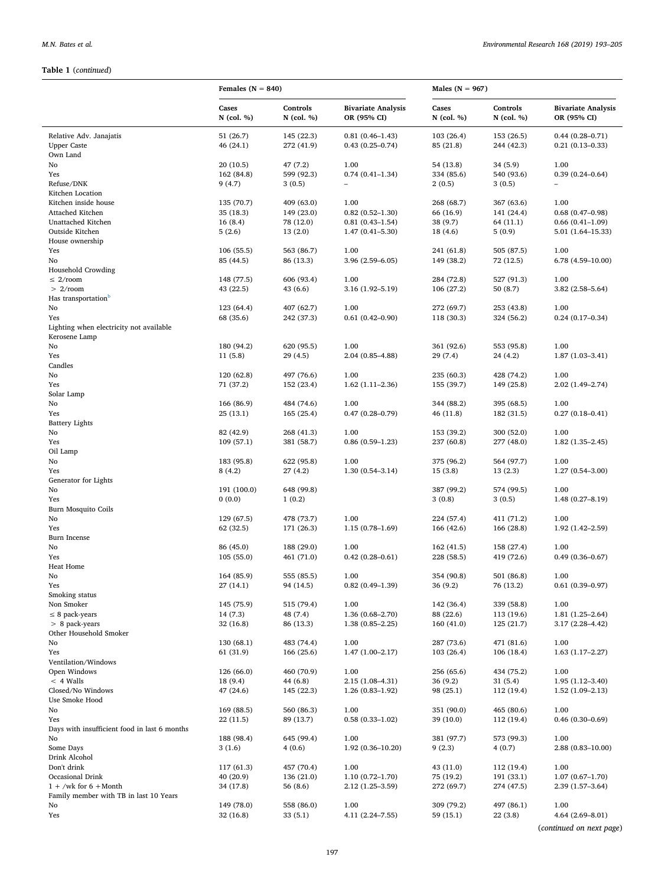# **Table 1** (*continued*)

|                                                          | Females $(N = 840)$    |                          |                                          | Males ( $N = 967$ )      |                          |                                          |  |
|----------------------------------------------------------|------------------------|--------------------------|------------------------------------------|--------------------------|--------------------------|------------------------------------------|--|
|                                                          | Cases<br>N (col. %)    | Controls<br>N (col. %)   | <b>Bivariate Analysis</b><br>OR (95% CI) | Cases<br>N (col. %)      | Controls<br>N (col. %)   | <b>Bivariate Analysis</b><br>OR (95% CI) |  |
| Relative Adv. Janajatis                                  | 51 (26.7)              | 145 (22.3)               | $0.81(0.46 - 1.43)$                      | 103 (26.4)               | 153 (26.5)               | $0.44(0.28 - 0.71)$                      |  |
| <b>Upper Caste</b>                                       | 46 (24.1)              | 272 (41.9)               | $0.43(0.25 - 0.74)$                      | 85 (21.8)                | 244 (42.3)               | $0.21(0.13 - 0.33)$                      |  |
| Own Land                                                 |                        |                          |                                          |                          |                          |                                          |  |
| No                                                       | 20 (10.5)              | 47 (7.2)                 | 1.00                                     | 54 (13.8)                | 34(5.9)                  | 1.00                                     |  |
| Yes<br>Refuse/DNK                                        | 162 (84.8)             | 599 (92.3)               | $0.74(0.41 - 1.34)$                      | 334 (85.6)               | 540 (93.6)               | $0.39(0.24 - 0.64)$                      |  |
| Kitchen Location                                         | 9(4.7)                 | 3(0.5)                   | $\qquad \qquad -$                        | 2(0.5)                   | 3(0.5)                   |                                          |  |
| Kitchen inside house                                     | 135 (70.7)             | 409 (63.0)               | 1.00                                     | 268 (68.7)               | 367 (63.6)               | 1.00                                     |  |
| <b>Attached Kitchen</b>                                  | 35(18.3)               | 149 (23.0)               | $0.82(0.52 - 1.30)$                      | 66 (16.9)                | 141 (24.4)               | $0.68(0.47-0.98)$                        |  |
| Unattached Kitchen                                       | 16(8.4)                | 78 (12.0)                | $0.81(0.43 - 1.54)$                      | 38 (9.7)                 | 64 (11.1)                | $0.66(0.41-1.09)$                        |  |
| Outside Kitchen                                          | 5(2.6)                 | 13(2.0)                  | $1.47(0.41 - 5.30)$                      | 18 (4.6)                 | 5(0.9)                   | $5.01(1.64 - 15.33)$                     |  |
| House ownership                                          |                        |                          |                                          |                          |                          |                                          |  |
| Yes                                                      | 106(55.5)              | 563 (86.7)               | 1.00                                     | 241 (61.8)               | 505 (87.5)               | 1.00                                     |  |
| No                                                       | 85 (44.5)              | 86 (13.3)                | $3.96(2.59 - 6.05)$                      | 149 (38.2)               | 72 (12.5)                | $6.78(4.59-10.00)$                       |  |
| Household Crowding                                       |                        |                          |                                          |                          |                          |                                          |  |
| $\leq$ 2/room<br>$> 2$ /room                             | 148 (77.5)             | 606 (93.4)               | 1.00                                     | 284 (72.8)               | 527 (91.3)               | 1.00                                     |  |
| Has transportation <sup>b</sup>                          | 43 (22.5)              | 43 (6.6)                 | $3.16(1.92 - 5.19)$                      | 106 (27.2)               | 50(8.7)                  | $3.82(2.58 - 5.64)$                      |  |
| No                                                       | 123 (64.4)             | 407 (62.7)               | 1.00                                     | 272 (69.7)               | 253 (43.8)               | 1.00                                     |  |
| Yes                                                      | 68 (35.6)              | 242 (37.3)               | $0.61(0.42 - 0.90)$                      | 118 (30.3)               | 324 (56.2)               | $0.24(0.17-0.34)$                        |  |
| Lighting when electricity not available<br>Kerosene Lamp |                        |                          |                                          |                          |                          |                                          |  |
| No                                                       | 180 (94.2)             | 620 (95.5)               | 1.00                                     | 361 (92.6)               | 553 (95.8)               | 1.00                                     |  |
| Yes                                                      | 11(5.8)                | 29(4.5)                  | $2.04(0.85 - 4.88)$                      | 29 (7.4)                 | 24(4.2)                  | $1.87(1.03 - 3.41)$                      |  |
| Candles                                                  |                        |                          |                                          |                          |                          |                                          |  |
| No                                                       | 120 (62.8)             | 497 (76.6)               | 1.00                                     | 235 (60.3)               | 428 (74.2)               | 1.00                                     |  |
| Yes                                                      | 71 (37.2)              | 152 (23.4)               | $1.62(1.11-2.36)$                        | 155 (39.7)               | 149 (25.8)               | 2.02 (1.49-2.74)                         |  |
| Solar Lamp                                               |                        |                          |                                          |                          |                          |                                          |  |
| No<br>Yes                                                | 166 (86.9)             | 484 (74.6)<br>165(25.4)  | 1.00<br>$0.47(0.28 - 0.79)$              | 344 (88.2)<br>46 (11.8)  | 395 (68.5)<br>182 (31.5) | 1.00<br>$0.27(0.18 - 0.41)$              |  |
| <b>Battery Lights</b>                                    | 25 (13.1)              |                          |                                          |                          |                          |                                          |  |
| No                                                       | 82 (42.9)              | 268 (41.3)               | 1.00                                     | 153 (39.2)               | 300(52.0)                | 1.00                                     |  |
| Yes                                                      | 109 (57.1)             | 381 (58.7)               | $0.86(0.59-1.23)$                        | 237 (60.8)               | 277 (48.0)               | $1.82(1.35 - 2.45)$                      |  |
| Oil Lamp                                                 |                        |                          |                                          |                          |                          |                                          |  |
| No                                                       | 183 (95.8)             | 622 (95.8)               | 1.00                                     | 375 (96.2)               | 564 (97.7)               | 1.00                                     |  |
| Yes                                                      | 8(4.2)                 | 27(4.2)                  | $1.30(0.54 - 3.14)$                      | 15(3.8)                  | 13(2.3)                  | $1.27(0.54 - 3.00)$                      |  |
| Generator for Lights                                     |                        |                          |                                          |                          |                          |                                          |  |
| No                                                       | 191 (100.0)            | 648 (99.8)               |                                          | 387 (99.2)               | 574 (99.5)               | 1.00                                     |  |
| Yes                                                      | 0(0.0)                 | 1(0.2)                   |                                          | 3(0.8)                   | 3(0.5)                   | $1.48(0.27 - 8.19)$                      |  |
| <b>Burn Mosquito Coils</b>                               |                        |                          |                                          |                          |                          |                                          |  |
| No<br>Yes                                                | 129 (67.5)<br>62(32.5) | 478 (73.7)<br>171 (26.3) | 1.00<br>$1.15(0.78 - 1.69)$              | 224 (57.4)<br>166 (42.6) | 411 (71.2)<br>166 (28.8) | 1.00<br>$1.92(1.42 - 2.59)$              |  |
| Burn Incense                                             |                        |                          |                                          |                          |                          |                                          |  |
| No                                                       | 86 (45.0)              | 188 (29.0)               | 1.00                                     | 162(41.5)                | 158 (27.4)               | 1.00                                     |  |
| Yes                                                      | 105(55.0)              | 461 (71.0)               | $0.42(0.28 - 0.61)$                      | 228 (58.5)               | 419 (72.6)               | $0.49(0.36 - 0.67)$                      |  |
| Heat Home                                                |                        |                          |                                          |                          |                          |                                          |  |
| No                                                       | 164 (85.9)             | 555 (85.5)               | 1.00                                     | 354 (90.8)               | 501 (86.8)               | 1.00                                     |  |
| Yes                                                      | 27 (14.1)              | 94 (14.5)                | $0.82(0.49-1.39)$                        | 36(9.2)                  | 76 (13.2)                | $0.61(0.39 - 0.97)$                      |  |
| Smoking status                                           |                        |                          |                                          |                          |                          |                                          |  |
| Non Smoker                                               | 145 (75.9)             | 515 (79.4)               | 1.00                                     | 142 (36.4)               | 339 (58.8)               | 1.00                                     |  |
| $\leq$ 8 pack-years                                      | 14 (7.3)               | 48 (7.4)                 | $1.36(0.68 - 2.70)$                      | 88 (22.6)                | 113 (19.6)               | $1.81(1.25 - 2.64)$                      |  |
| > 8 pack-years                                           | 32 (16.8)              | 86 (13.3)                | $1.38(0.85 - 2.25)$                      | 160 (41.0)               | 125(21.7)                | 3.17 (2.28-4.42)                         |  |
| Other Household Smoker<br>No                             | 130 (68.1)             | 483 (74.4)               | 1.00                                     | 287 (73.6)               | 471 (81.6)               | 1.00                                     |  |
| Yes                                                      | 61 (31.9)              | 166 (25.6)               | $1.47(1.00 - 2.17)$                      | 103 (26.4)               | 106 (18.4)               | $1.63(1.17-2.27)$                        |  |
| Ventilation/Windows                                      |                        |                          |                                          |                          |                          |                                          |  |
| Open Windows                                             | 126 (66.0)             | 460 (70.9)               | 1.00                                     | 256 (65.6)               | 434 (75.2)               | 1.00                                     |  |
| $< 4$ Walls                                              | 18 (9.4)               | 44 (6.8)                 | $2.15(1.08 - 4.31)$                      | 36(9.2)                  | 31(5.4)                  | $1.95(1.12 - 3.40)$                      |  |
| Closed/No Windows                                        | 47 (24.6)              | 145 (22.3)               | $1.26(0.83 - 1.92)$                      | 98 (25.1)                | 112 (19.4)               | $1.52(1.09 - 2.13)$                      |  |
| Use Smoke Hood                                           |                        |                          |                                          |                          |                          |                                          |  |
| No                                                       | 169 (88.5)             | 560 (86.3)               | 1.00                                     | 351 (90.0)               | 465 (80.6)               | 1.00                                     |  |
| Yes                                                      | 22 (11.5)              | 89 (13.7)                | $0.58(0.33 - 1.02)$                      | 39 (10.0)                | 112 (19.4)               | $0.46(0.30-0.69)$                        |  |
| Days with insufficient food in last 6 months             |                        |                          |                                          |                          |                          |                                          |  |
| No                                                       | 188 (98.4)             | 645 (99.4)               | 1.00                                     | 381 (97.7)               | 573 (99.3)               | 1.00                                     |  |
| Some Days                                                | 3(1.6)                 | 4(0.6)                   | $1.92(0.36 - 10.20)$                     | 9(2.3)                   | 4(0.7)                   | $2.88(0.83 - 10.00)$                     |  |
| Drink Alcohol<br>Don't drink                             | 117 (61.3)             | 457 (70.4)               | 1.00                                     | 43 (11.0)                | 112 (19.4)               | 1.00                                     |  |
| Occasional Drink                                         | 40 (20.9)              | 136 (21.0)               | $1.10(0.72 - 1.70)$                      | 75 (19.2)                | 191 (33.1)               | $1.07(0.67 - 1.70)$                      |  |
| $1 +$ /wk for 6 + Month                                  | 34 (17.8)              | 56 (8.6)                 | 2.12 (1.25-3.59)                         | 272 (69.7)               | 274 (47.5)               | 2.39 (1.57-3.64)                         |  |
| Family member with TB in last 10 Years                   |                        |                          |                                          |                          |                          |                                          |  |
| No                                                       | 149 (78.0)             | 558 (86.0)               | 1.00                                     | 309 (79.2)               | 497 (86.1)               | 1.00                                     |  |
| Yes                                                      | 32 (16.8)              | 33(5.1)                  | 4.11 (2.24-7.55)                         | 59 (15.1)                | 22(3.8)                  | $4.64(2.69 - 8.01)$                      |  |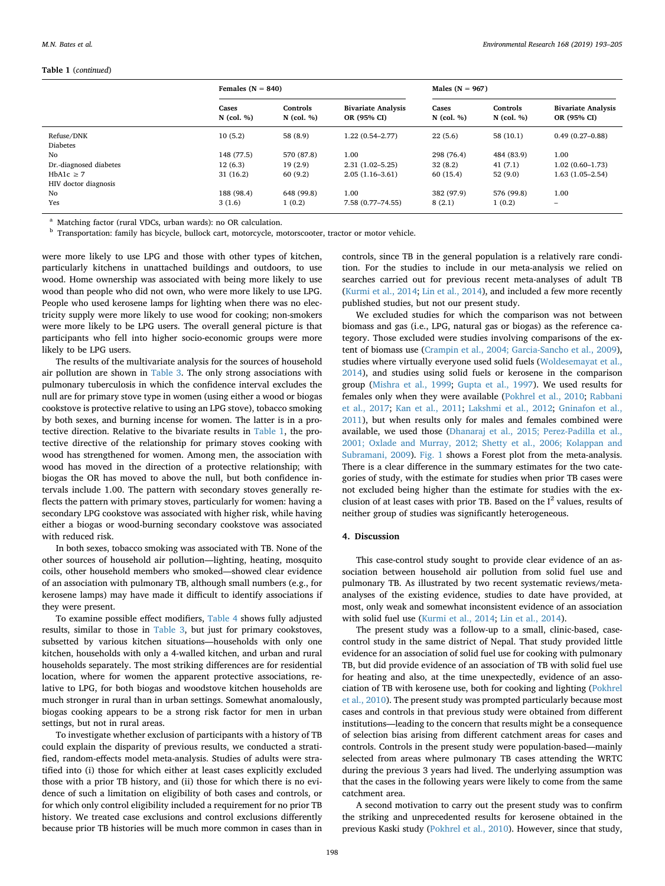## **Table 1** (*continued*)

|                               | Females $(N = 840)$   |                          |                                          | Males $(N = 967)$     |                          |                                          |
|-------------------------------|-----------------------|--------------------------|------------------------------------------|-----------------------|--------------------------|------------------------------------------|
|                               | Cases<br>$N$ (col. %) | Controls<br>$N$ (col. %) | <b>Bivariate Analysis</b><br>OR (95% CI) | Cases<br>$N$ (col. %) | Controls<br>$N$ (col. %) | <b>Bivariate Analysis</b><br>OR (95% CI) |
| Refuse/DNK<br><b>Diabetes</b> | 10(5.2)               | 58 (8.9)                 | $1.22(0.54 - 2.77)$                      | 22(5.6)               | 58(10.1)                 | $0.49(0.27-0.88)$                        |
| No                            | 148 (77.5)            | 570 (87.8)               | 1.00                                     | 298 (76.4)            | 484 (83.9)               | 1.00                                     |
| Dr.-diagnosed diabetes        | 12(6.3)               | 19(2.9)                  | $2.31(1.02 - 5.25)$                      | 32(8.2)               | 41(7.1)                  | $1.02(0.60 - 1.73)$                      |
| HbA1c $\geq$ 7                | 31 (16.2)             | 60(9.2)                  | $2.05(1.16-3.61)$                        | 60(15.4)              | 52(9.0)                  | $1.63(1.05-2.54)$                        |
| HIV doctor diagnosis          |                       |                          |                                          |                       |                          |                                          |
| No                            | 188 (98.4)            | 648 (99.8)               | 1.00                                     | 382 (97.9)            | 576 (99.8)               | 1.00                                     |
| Yes                           | 3(1.6)                | 1(0.2)                   | 7.58 (0.77-74.55)                        | 8(2.1)                | 1(0.2)                   | $\overline{\phantom{0}}$                 |

<span id="page-5-0"></span>Matching factor (rural VDCs, urban wards): no OR calculation.

<span id="page-5-1"></span><sup>b</sup> Transportation: family has bicycle, bullock cart, motorcycle, motorscooter, tractor or motor vehicle.

were more likely to use LPG and those with other types of kitchen, particularly kitchens in unattached buildings and outdoors, to use wood. Home ownership was associated with being more likely to use wood than people who did not own, who were more likely to use LPG. People who used kerosene lamps for lighting when there was no electricity supply were more likely to use wood for cooking; non-smokers were more likely to be LPG users. The overall general picture is that participants who fell into higher socio-economic groups were more likely to be LPG users.

The results of the multivariate analysis for the sources of household air pollution are shown in [Table 3](#page-8-0). The only strong associations with pulmonary tuberculosis in which the confidence interval excludes the null are for primary stove type in women (using either a wood or biogas cookstove is protective relative to using an LPG stove), tobacco smoking by both sexes, and burning incense for women. The latter is in a protective direction. Relative to the bivariate results in [Table 1,](#page-3-0) the protective directive of the relationship for primary stoves cooking with wood has strengthened for women. Among men, the association with wood has moved in the direction of a protective relationship; with biogas the OR has moved to above the null, but both confidence intervals include 1.00. The pattern with secondary stoves generally reflects the pattern with primary stoves, particularly for women: having a secondary LPG cookstove was associated with higher risk, while having either a biogas or wood-burning secondary cookstove was associated with reduced risk.

In both sexes, tobacco smoking was associated with TB. None of the other sources of household air pollution—lighting, heating, mosquito coils, other household members who smoked—showed clear evidence of an association with pulmonary TB, although small numbers (e.g., for kerosene lamps) may have made it difficult to identify associations if they were present.

To examine possible effect modifiers, [Table 4](#page-9-0) shows fully adjusted results, similar to those in [Table 3](#page-8-0), but just for primary cookstoves, subsetted by various kitchen situations—households with only one kitchen, households with only a 4-walled kitchen, and urban and rural households separately. The most striking differences are for residential location, where for women the apparent protective associations, relative to LPG, for both biogas and woodstove kitchen households are much stronger in rural than in urban settings. Somewhat anomalously, biogas cooking appears to be a strong risk factor for men in urban settings, but not in rural areas.

To investigate whether exclusion of participants with a history of TB could explain the disparity of previous results, we conducted a stratified, random-effects model meta-analysis. Studies of adults were stratified into (i) those for which either at least cases explicitly excluded those with a prior TB history, and (ii) those for which there is no evidence of such a limitation on eligibility of both cases and controls, or for which only control eligibility included a requirement for no prior TB history. We treated case exclusions and control exclusions differently because prior TB histories will be much more common in cases than in

controls, since TB in the general population is a relatively rare condition. For the studies to include in our meta-analysis we relied on searches carried out for previous recent meta-analyses of adult TB ([Kurmi et al., 2014;](#page-12-5) [Lin et al., 2014\)](#page-12-6), and included a few more recently published studies, but not our present study.

We excluded studies for which the comparison was not between biomass and gas (i.e., LPG, natural gas or biogas) as the reference category. Those excluded were studies involving comparisons of the extent of biomass use [\(Crampin et al., 2004; Garcia-Sancho et al., 2009](#page-11-6)), studies where virtually everyone used solid fuels ([Woldesemayat et al.,](#page-12-9) [2014\)](#page-12-9), and studies using solid fuels or kerosene in the comparison group ([Mishra et al., 1999](#page-12-10); [Gupta et al., 1997\)](#page-11-7). We used results for females only when they were available [\(Pokhrel et al., 2010;](#page-12-7) [Rabbani](#page-12-8) [et al., 2017;](#page-12-8) [Kan et al., 2011](#page-12-11); [Lakshmi et al., 2012](#page-12-12); [Gninafon et al.,](#page-11-8) [2011\)](#page-11-8), but when results only for males and females combined were available, we used those ([Dhanaraj et al., 2015; Perez-Padilla et al.,](#page-11-5) [2001; Oxlade and Murray, 2012; Shetty et al., 2006; Kolappan and](#page-11-5) [Subramani, 2009\)](#page-11-5). [Fig. 1](#page-9-1) shows a Forest plot from the meta-analysis. There is a clear difference in the summary estimates for the two categories of study, with the estimate for studies when prior TB cases were not excluded being higher than the estimate for studies with the exclusion of at least cases with prior TB. Based on the  $I<sup>2</sup>$  values, results of neither group of studies was significantly heterogeneous.

## **4. Discussion**

This case-control study sought to provide clear evidence of an association between household air pollution from solid fuel use and pulmonary TB. As illustrated by two recent systematic reviews/metaanalyses of the existing evidence, studies to date have provided, at most, only weak and somewhat inconsistent evidence of an association with solid fuel use ([Kurmi et al., 2014](#page-12-5); [Lin et al., 2014\)](#page-12-6).

The present study was a follow-up to a small, clinic-based, casecontrol study in the same district of Nepal. That study provided little evidence for an association of solid fuel use for cooking with pulmonary TB, but did provide evidence of an association of TB with solid fuel use for heating and also, at the time unexpectedly, evidence of an association of TB with kerosene use, both for cooking and lighting [\(Pokhrel](#page-12-7) [et al., 2010\)](#page-12-7). The present study was prompted particularly because most cases and controls in that previous study were obtained from different institutions—leading to the concern that results might be a consequence of selection bias arising from different catchment areas for cases and controls. Controls in the present study were population-based—mainly selected from areas where pulmonary TB cases attending the WRTC during the previous 3 years had lived. The underlying assumption was that the cases in the following years were likely to come from the same catchment area.

A second motivation to carry out the present study was to confirm the striking and unprecedented results for kerosene obtained in the previous Kaski study [\(Pokhrel et al., 2010](#page-12-7)). However, since that study,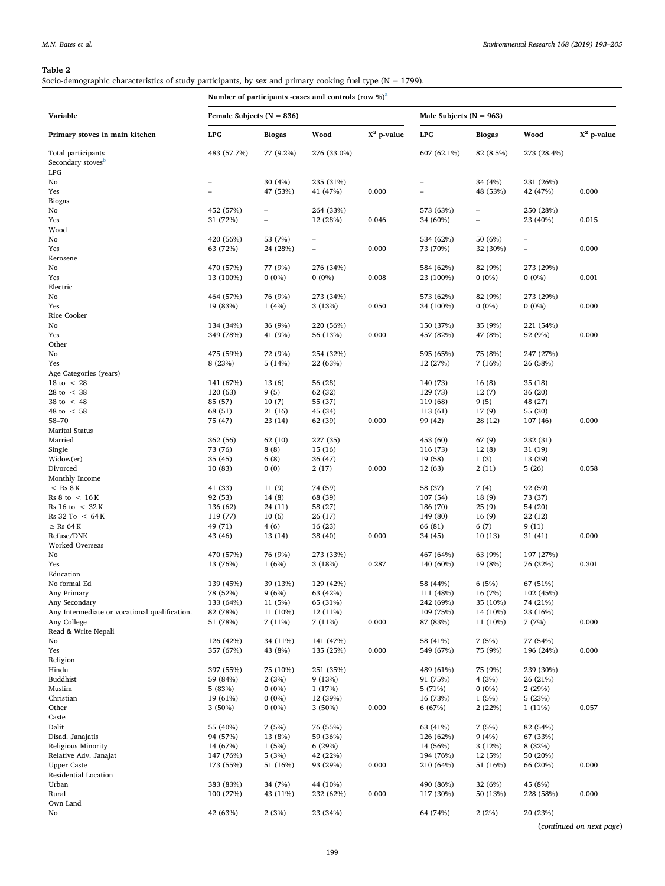# <span id="page-6-0"></span>**Table 2**

Socio-demographic characteristics of study participants, by sex and primary cooking fuel type ( $N = 1799$ ).

| Female Subjects ( $N = 836$ )<br>LPG<br>483 (57.7%)<br>452 (57%)<br>31 (72%)<br>420 (56%)<br>63 (72%)<br>470 (57%)<br>13 (100%)<br>464 (57%)<br>19 (83%)<br>134 (34%)<br>349 (78%) | <b>Biogas</b><br>77 (9.2%)<br>30 (4%)<br>47 (53%)<br>$\overline{\phantom{0}}$<br>53 (7%)<br>24 (28%)<br>77 (9%)<br>$0(0\%)$<br>76 (9%)<br>1(4%)<br>36 (9%)                                                                                                                                           | Wood<br>276 (33.0%)<br>235 (31%)<br>41 (47%)<br>264 (33%)<br>12 (28%)<br>$\qquad \qquad -$<br>276 (34%)<br>$0(0\%)$<br>273 (34%)<br>3 (13%)                                                                                                                      | $X^2$ p-value<br>0.000<br>0.046<br>0.000<br>0.008                                                                                                                                                                                                                                        | Male Subjects ( $N = 963$ )<br>LPG<br>607 (62.1%)<br>÷<br>573 (63%)<br>34 (60%)<br>534 (62%)<br>73 (70%)<br>584 (62%)<br>23 (100%)<br>573 (62%) | <b>Biogas</b><br>82 (8.5%)<br>34 (4%)<br>48 (53%)<br>-<br>$\overline{\phantom{0}}$<br>50 (6%)<br>32 (30%)<br>82 (9%)<br>$0(0\%)$<br>82 (9%)                                                                                                                                                                       | Wood<br>273 (28.4%)<br>231 (26%)<br>42 (47%)<br>250 (28%)<br>23 (40%)<br>$\overline{\phantom{0}}$<br>$\overline{\phantom{a}}$<br>273 (29%)<br>$0(0\%)$                                                                                                               | $X^2$ p-value<br>0.000<br>0.015<br>0.000<br>0.001                                                                                                                                                                                                                                                                             |
|------------------------------------------------------------------------------------------------------------------------------------------------------------------------------------|------------------------------------------------------------------------------------------------------------------------------------------------------------------------------------------------------------------------------------------------------------------------------------------------------|------------------------------------------------------------------------------------------------------------------------------------------------------------------------------------------------------------------------------------------------------------------|------------------------------------------------------------------------------------------------------------------------------------------------------------------------------------------------------------------------------------------------------------------------------------------|-------------------------------------------------------------------------------------------------------------------------------------------------|-------------------------------------------------------------------------------------------------------------------------------------------------------------------------------------------------------------------------------------------------------------------------------------------------------------------|----------------------------------------------------------------------------------------------------------------------------------------------------------------------------------------------------------------------------------------------------------------------|-------------------------------------------------------------------------------------------------------------------------------------------------------------------------------------------------------------------------------------------------------------------------------------------------------------------------------|
|                                                                                                                                                                                    |                                                                                                                                                                                                                                                                                                      |                                                                                                                                                                                                                                                                  |                                                                                                                                                                                                                                                                                          |                                                                                                                                                 |                                                                                                                                                                                                                                                                                                                   |                                                                                                                                                                                                                                                                      |                                                                                                                                                                                                                                                                                                                               |
|                                                                                                                                                                                    |                                                                                                                                                                                                                                                                                                      |                                                                                                                                                                                                                                                                  |                                                                                                                                                                                                                                                                                          |                                                                                                                                                 |                                                                                                                                                                                                                                                                                                                   |                                                                                                                                                                                                                                                                      |                                                                                                                                                                                                                                                                                                                               |
|                                                                                                                                                                                    |                                                                                                                                                                                                                                                                                                      |                                                                                                                                                                                                                                                                  |                                                                                                                                                                                                                                                                                          |                                                                                                                                                 |                                                                                                                                                                                                                                                                                                                   |                                                                                                                                                                                                                                                                      |                                                                                                                                                                                                                                                                                                                               |
|                                                                                                                                                                                    |                                                                                                                                                                                                                                                                                                      |                                                                                                                                                                                                                                                                  |                                                                                                                                                                                                                                                                                          |                                                                                                                                                 |                                                                                                                                                                                                                                                                                                                   |                                                                                                                                                                                                                                                                      |                                                                                                                                                                                                                                                                                                                               |
|                                                                                                                                                                                    |                                                                                                                                                                                                                                                                                                      |                                                                                                                                                                                                                                                                  |                                                                                                                                                                                                                                                                                          |                                                                                                                                                 |                                                                                                                                                                                                                                                                                                                   |                                                                                                                                                                                                                                                                      |                                                                                                                                                                                                                                                                                                                               |
|                                                                                                                                                                                    |                                                                                                                                                                                                                                                                                                      |                                                                                                                                                                                                                                                                  |                                                                                                                                                                                                                                                                                          |                                                                                                                                                 |                                                                                                                                                                                                                                                                                                                   |                                                                                                                                                                                                                                                                      |                                                                                                                                                                                                                                                                                                                               |
|                                                                                                                                                                                    |                                                                                                                                                                                                                                                                                                      |                                                                                                                                                                                                                                                                  |                                                                                                                                                                                                                                                                                          |                                                                                                                                                 |                                                                                                                                                                                                                                                                                                                   |                                                                                                                                                                                                                                                                      |                                                                                                                                                                                                                                                                                                                               |
|                                                                                                                                                                                    |                                                                                                                                                                                                                                                                                                      |                                                                                                                                                                                                                                                                  |                                                                                                                                                                                                                                                                                          |                                                                                                                                                 |                                                                                                                                                                                                                                                                                                                   |                                                                                                                                                                                                                                                                      |                                                                                                                                                                                                                                                                                                                               |
|                                                                                                                                                                                    |                                                                                                                                                                                                                                                                                                      |                                                                                                                                                                                                                                                                  |                                                                                                                                                                                                                                                                                          |                                                                                                                                                 |                                                                                                                                                                                                                                                                                                                   |                                                                                                                                                                                                                                                                      |                                                                                                                                                                                                                                                                                                                               |
|                                                                                                                                                                                    |                                                                                                                                                                                                                                                                                                      |                                                                                                                                                                                                                                                                  |                                                                                                                                                                                                                                                                                          |                                                                                                                                                 |                                                                                                                                                                                                                                                                                                                   |                                                                                                                                                                                                                                                                      |                                                                                                                                                                                                                                                                                                                               |
|                                                                                                                                                                                    |                                                                                                                                                                                                                                                                                                      |                                                                                                                                                                                                                                                                  |                                                                                                                                                                                                                                                                                          |                                                                                                                                                 |                                                                                                                                                                                                                                                                                                                   |                                                                                                                                                                                                                                                                      |                                                                                                                                                                                                                                                                                                                               |
|                                                                                                                                                                                    |                                                                                                                                                                                                                                                                                                      |                                                                                                                                                                                                                                                                  |                                                                                                                                                                                                                                                                                          |                                                                                                                                                 |                                                                                                                                                                                                                                                                                                                   |                                                                                                                                                                                                                                                                      |                                                                                                                                                                                                                                                                                                                               |
|                                                                                                                                                                                    |                                                                                                                                                                                                                                                                                                      |                                                                                                                                                                                                                                                                  |                                                                                                                                                                                                                                                                                          |                                                                                                                                                 |                                                                                                                                                                                                                                                                                                                   |                                                                                                                                                                                                                                                                      |                                                                                                                                                                                                                                                                                                                               |
|                                                                                                                                                                                    |                                                                                                                                                                                                                                                                                                      |                                                                                                                                                                                                                                                                  |                                                                                                                                                                                                                                                                                          |                                                                                                                                                 |                                                                                                                                                                                                                                                                                                                   |                                                                                                                                                                                                                                                                      |                                                                                                                                                                                                                                                                                                                               |
|                                                                                                                                                                                    |                                                                                                                                                                                                                                                                                                      |                                                                                                                                                                                                                                                                  |                                                                                                                                                                                                                                                                                          |                                                                                                                                                 |                                                                                                                                                                                                                                                                                                                   |                                                                                                                                                                                                                                                                      |                                                                                                                                                                                                                                                                                                                               |
|                                                                                                                                                                                    |                                                                                                                                                                                                                                                                                                      |                                                                                                                                                                                                                                                                  |                                                                                                                                                                                                                                                                                          |                                                                                                                                                 |                                                                                                                                                                                                                                                                                                                   |                                                                                                                                                                                                                                                                      |                                                                                                                                                                                                                                                                                                                               |
|                                                                                                                                                                                    |                                                                                                                                                                                                                                                                                                      |                                                                                                                                                                                                                                                                  |                                                                                                                                                                                                                                                                                          |                                                                                                                                                 |                                                                                                                                                                                                                                                                                                                   |                                                                                                                                                                                                                                                                      |                                                                                                                                                                                                                                                                                                                               |
|                                                                                                                                                                                    |                                                                                                                                                                                                                                                                                                      |                                                                                                                                                                                                                                                                  |                                                                                                                                                                                                                                                                                          |                                                                                                                                                 |                                                                                                                                                                                                                                                                                                                   | 273 (29%)                                                                                                                                                                                                                                                            |                                                                                                                                                                                                                                                                                                                               |
|                                                                                                                                                                                    |                                                                                                                                                                                                                                                                                                      |                                                                                                                                                                                                                                                                  | 0.050                                                                                                                                                                                                                                                                                    | 34 (100%)                                                                                                                                       | $0(0\%)$                                                                                                                                                                                                                                                                                                          | $0(0\%)$                                                                                                                                                                                                                                                             | 0.000                                                                                                                                                                                                                                                                                                                         |
|                                                                                                                                                                                    |                                                                                                                                                                                                                                                                                                      |                                                                                                                                                                                                                                                                  |                                                                                                                                                                                                                                                                                          |                                                                                                                                                 |                                                                                                                                                                                                                                                                                                                   |                                                                                                                                                                                                                                                                      |                                                                                                                                                                                                                                                                                                                               |
|                                                                                                                                                                                    |                                                                                                                                                                                                                                                                                                      | 220 (56%)                                                                                                                                                                                                                                                        |                                                                                                                                                                                                                                                                                          | 150 (37%)                                                                                                                                       | 35 (9%)                                                                                                                                                                                                                                                                                                           | 221 (54%)                                                                                                                                                                                                                                                            |                                                                                                                                                                                                                                                                                                                               |
|                                                                                                                                                                                    | 41 (9%)                                                                                                                                                                                                                                                                                              | 56 (13%)                                                                                                                                                                                                                                                         | 0.000                                                                                                                                                                                                                                                                                    | 457 (82%)                                                                                                                                       | 47 (8%)                                                                                                                                                                                                                                                                                                           | 52 (9%)                                                                                                                                                                                                                                                              | 0.000                                                                                                                                                                                                                                                                                                                         |
|                                                                                                                                                                                    |                                                                                                                                                                                                                                                                                                      |                                                                                                                                                                                                                                                                  |                                                                                                                                                                                                                                                                                          |                                                                                                                                                 |                                                                                                                                                                                                                                                                                                                   |                                                                                                                                                                                                                                                                      |                                                                                                                                                                                                                                                                                                                               |
| 475 (59%)                                                                                                                                                                          | 72 (9%)                                                                                                                                                                                                                                                                                              | 254 (32%)                                                                                                                                                                                                                                                        |                                                                                                                                                                                                                                                                                          | 595 (65%)                                                                                                                                       | 75 (8%)                                                                                                                                                                                                                                                                                                           | 247 (27%)                                                                                                                                                                                                                                                            |                                                                                                                                                                                                                                                                                                                               |
| 8 (23%)                                                                                                                                                                            | 5(14%)                                                                                                                                                                                                                                                                                               | 22 (63%)                                                                                                                                                                                                                                                         |                                                                                                                                                                                                                                                                                          | 12 (27%)                                                                                                                                        | 7 (16%)                                                                                                                                                                                                                                                                                                           | 26 (58%)                                                                                                                                                                                                                                                             |                                                                                                                                                                                                                                                                                                                               |
|                                                                                                                                                                                    |                                                                                                                                                                                                                                                                                                      |                                                                                                                                                                                                                                                                  |                                                                                                                                                                                                                                                                                          |                                                                                                                                                 |                                                                                                                                                                                                                                                                                                                   |                                                                                                                                                                                                                                                                      |                                                                                                                                                                                                                                                                                                                               |
| 141 (67%)                                                                                                                                                                          | 13(6)                                                                                                                                                                                                                                                                                                | 56 (28)                                                                                                                                                                                                                                                          |                                                                                                                                                                                                                                                                                          | 140 (73)                                                                                                                                        | 16(8)                                                                                                                                                                                                                                                                                                             | 35(18)                                                                                                                                                                                                                                                               |                                                                                                                                                                                                                                                                                                                               |
|                                                                                                                                                                                    |                                                                                                                                                                                                                                                                                                      |                                                                                                                                                                                                                                                                  |                                                                                                                                                                                                                                                                                          |                                                                                                                                                 |                                                                                                                                                                                                                                                                                                                   |                                                                                                                                                                                                                                                                      |                                                                                                                                                                                                                                                                                                                               |
|                                                                                                                                                                                    |                                                                                                                                                                                                                                                                                                      |                                                                                                                                                                                                                                                                  |                                                                                                                                                                                                                                                                                          |                                                                                                                                                 |                                                                                                                                                                                                                                                                                                                   |                                                                                                                                                                                                                                                                      |                                                                                                                                                                                                                                                                                                                               |
|                                                                                                                                                                                    |                                                                                                                                                                                                                                                                                                      |                                                                                                                                                                                                                                                                  |                                                                                                                                                                                                                                                                                          |                                                                                                                                                 |                                                                                                                                                                                                                                                                                                                   |                                                                                                                                                                                                                                                                      |                                                                                                                                                                                                                                                                                                                               |
|                                                                                                                                                                                    |                                                                                                                                                                                                                                                                                                      |                                                                                                                                                                                                                                                                  |                                                                                                                                                                                                                                                                                          |                                                                                                                                                 |                                                                                                                                                                                                                                                                                                                   |                                                                                                                                                                                                                                                                      | 0.000                                                                                                                                                                                                                                                                                                                         |
|                                                                                                                                                                                    |                                                                                                                                                                                                                                                                                                      |                                                                                                                                                                                                                                                                  |                                                                                                                                                                                                                                                                                          |                                                                                                                                                 |                                                                                                                                                                                                                                                                                                                   |                                                                                                                                                                                                                                                                      |                                                                                                                                                                                                                                                                                                                               |
|                                                                                                                                                                                    |                                                                                                                                                                                                                                                                                                      |                                                                                                                                                                                                                                                                  |                                                                                                                                                                                                                                                                                          |                                                                                                                                                 |                                                                                                                                                                                                                                                                                                                   |                                                                                                                                                                                                                                                                      |                                                                                                                                                                                                                                                                                                                               |
|                                                                                                                                                                                    |                                                                                                                                                                                                                                                                                                      |                                                                                                                                                                                                                                                                  |                                                                                                                                                                                                                                                                                          |                                                                                                                                                 |                                                                                                                                                                                                                                                                                                                   |                                                                                                                                                                                                                                                                      |                                                                                                                                                                                                                                                                                                                               |
|                                                                                                                                                                                    |                                                                                                                                                                                                                                                                                                      |                                                                                                                                                                                                                                                                  |                                                                                                                                                                                                                                                                                          |                                                                                                                                                 |                                                                                                                                                                                                                                                                                                                   |                                                                                                                                                                                                                                                                      |                                                                                                                                                                                                                                                                                                                               |
|                                                                                                                                                                                    |                                                                                                                                                                                                                                                                                                      |                                                                                                                                                                                                                                                                  |                                                                                                                                                                                                                                                                                          |                                                                                                                                                 |                                                                                                                                                                                                                                                                                                                   |                                                                                                                                                                                                                                                                      | 0.058                                                                                                                                                                                                                                                                                                                         |
|                                                                                                                                                                                    |                                                                                                                                                                                                                                                                                                      |                                                                                                                                                                                                                                                                  |                                                                                                                                                                                                                                                                                          |                                                                                                                                                 |                                                                                                                                                                                                                                                                                                                   |                                                                                                                                                                                                                                                                      |                                                                                                                                                                                                                                                                                                                               |
|                                                                                                                                                                                    |                                                                                                                                                                                                                                                                                                      |                                                                                                                                                                                                                                                                  |                                                                                                                                                                                                                                                                                          |                                                                                                                                                 |                                                                                                                                                                                                                                                                                                                   |                                                                                                                                                                                                                                                                      |                                                                                                                                                                                                                                                                                                                               |
|                                                                                                                                                                                    |                                                                                                                                                                                                                                                                                                      |                                                                                                                                                                                                                                                                  |                                                                                                                                                                                                                                                                                          |                                                                                                                                                 |                                                                                                                                                                                                                                                                                                                   |                                                                                                                                                                                                                                                                      |                                                                                                                                                                                                                                                                                                                               |
|                                                                                                                                                                                    |                                                                                                                                                                                                                                                                                                      |                                                                                                                                                                                                                                                                  |                                                                                                                                                                                                                                                                                          |                                                                                                                                                 |                                                                                                                                                                                                                                                                                                                   |                                                                                                                                                                                                                                                                      |                                                                                                                                                                                                                                                                                                                               |
|                                                                                                                                                                                    |                                                                                                                                                                                                                                                                                                      |                                                                                                                                                                                                                                                                  |                                                                                                                                                                                                                                                                                          |                                                                                                                                                 |                                                                                                                                                                                                                                                                                                                   |                                                                                                                                                                                                                                                                      |                                                                                                                                                                                                                                                                                                                               |
|                                                                                                                                                                                    |                                                                                                                                                                                                                                                                                                      |                                                                                                                                                                                                                                                                  |                                                                                                                                                                                                                                                                                          |                                                                                                                                                 |                                                                                                                                                                                                                                                                                                                   |                                                                                                                                                                                                                                                                      |                                                                                                                                                                                                                                                                                                                               |
|                                                                                                                                                                                    |                                                                                                                                                                                                                                                                                                      |                                                                                                                                                                                                                                                                  |                                                                                                                                                                                                                                                                                          |                                                                                                                                                 |                                                                                                                                                                                                                                                                                                                   |                                                                                                                                                                                                                                                                      | 0.000                                                                                                                                                                                                                                                                                                                         |
|                                                                                                                                                                                    |                                                                                                                                                                                                                                                                                                      |                                                                                                                                                                                                                                                                  |                                                                                                                                                                                                                                                                                          |                                                                                                                                                 |                                                                                                                                                                                                                                                                                                                   |                                                                                                                                                                                                                                                                      |                                                                                                                                                                                                                                                                                                                               |
|                                                                                                                                                                                    |                                                                                                                                                                                                                                                                                                      |                                                                                                                                                                                                                                                                  |                                                                                                                                                                                                                                                                                          |                                                                                                                                                 |                                                                                                                                                                                                                                                                                                                   |                                                                                                                                                                                                                                                                      |                                                                                                                                                                                                                                                                                                                               |
|                                                                                                                                                                                    |                                                                                                                                                                                                                                                                                                      |                                                                                                                                                                                                                                                                  |                                                                                                                                                                                                                                                                                          |                                                                                                                                                 |                                                                                                                                                                                                                                                                                                                   |                                                                                                                                                                                                                                                                      |                                                                                                                                                                                                                                                                                                                               |
|                                                                                                                                                                                    |                                                                                                                                                                                                                                                                                                      |                                                                                                                                                                                                                                                                  |                                                                                                                                                                                                                                                                                          |                                                                                                                                                 |                                                                                                                                                                                                                                                                                                                   |                                                                                                                                                                                                                                                                      | 0.301                                                                                                                                                                                                                                                                                                                         |
|                                                                                                                                                                                    |                                                                                                                                                                                                                                                                                                      |                                                                                                                                                                                                                                                                  |                                                                                                                                                                                                                                                                                          |                                                                                                                                                 |                                                                                                                                                                                                                                                                                                                   |                                                                                                                                                                                                                                                                      |                                                                                                                                                                                                                                                                                                                               |
|                                                                                                                                                                                    |                                                                                                                                                                                                                                                                                                      |                                                                                                                                                                                                                                                                  |                                                                                                                                                                                                                                                                                          |                                                                                                                                                 |                                                                                                                                                                                                                                                                                                                   |                                                                                                                                                                                                                                                                      |                                                                                                                                                                                                                                                                                                                               |
|                                                                                                                                                                                    |                                                                                                                                                                                                                                                                                                      |                                                                                                                                                                                                                                                                  |                                                                                                                                                                                                                                                                                          |                                                                                                                                                 |                                                                                                                                                                                                                                                                                                                   |                                                                                                                                                                                                                                                                      |                                                                                                                                                                                                                                                                                                                               |
|                                                                                                                                                                                    |                                                                                                                                                                                                                                                                                                      |                                                                                                                                                                                                                                                                  |                                                                                                                                                                                                                                                                                          |                                                                                                                                                 |                                                                                                                                                                                                                                                                                                                   |                                                                                                                                                                                                                                                                      |                                                                                                                                                                                                                                                                                                                               |
|                                                                                                                                                                                    |                                                                                                                                                                                                                                                                                                      |                                                                                                                                                                                                                                                                  |                                                                                                                                                                                                                                                                                          |                                                                                                                                                 |                                                                                                                                                                                                                                                                                                                   |                                                                                                                                                                                                                                                                      |                                                                                                                                                                                                                                                                                                                               |
|                                                                                                                                                                                    |                                                                                                                                                                                                                                                                                                      |                                                                                                                                                                                                                                                                  |                                                                                                                                                                                                                                                                                          |                                                                                                                                                 |                                                                                                                                                                                                                                                                                                                   |                                                                                                                                                                                                                                                                      | 0.000                                                                                                                                                                                                                                                                                                                         |
|                                                                                                                                                                                    |                                                                                                                                                                                                                                                                                                      |                                                                                                                                                                                                                                                                  |                                                                                                                                                                                                                                                                                          |                                                                                                                                                 |                                                                                                                                                                                                                                                                                                                   |                                                                                                                                                                                                                                                                      |                                                                                                                                                                                                                                                                                                                               |
|                                                                                                                                                                                    |                                                                                                                                                                                                                                                                                                      |                                                                                                                                                                                                                                                                  |                                                                                                                                                                                                                                                                                          |                                                                                                                                                 |                                                                                                                                                                                                                                                                                                                   |                                                                                                                                                                                                                                                                      |                                                                                                                                                                                                                                                                                                                               |
|                                                                                                                                                                                    |                                                                                                                                                                                                                                                                                                      |                                                                                                                                                                                                                                                                  |                                                                                                                                                                                                                                                                                          |                                                                                                                                                 |                                                                                                                                                                                                                                                                                                                   |                                                                                                                                                                                                                                                                      | 0.000                                                                                                                                                                                                                                                                                                                         |
|                                                                                                                                                                                    |                                                                                                                                                                                                                                                                                                      |                                                                                                                                                                                                                                                                  |                                                                                                                                                                                                                                                                                          |                                                                                                                                                 |                                                                                                                                                                                                                                                                                                                   |                                                                                                                                                                                                                                                                      |                                                                                                                                                                                                                                                                                                                               |
|                                                                                                                                                                                    |                                                                                                                                                                                                                                                                                                      |                                                                                                                                                                                                                                                                  |                                                                                                                                                                                                                                                                                          |                                                                                                                                                 |                                                                                                                                                                                                                                                                                                                   |                                                                                                                                                                                                                                                                      |                                                                                                                                                                                                                                                                                                                               |
|                                                                                                                                                                                    |                                                                                                                                                                                                                                                                                                      |                                                                                                                                                                                                                                                                  |                                                                                                                                                                                                                                                                                          |                                                                                                                                                 |                                                                                                                                                                                                                                                                                                                   |                                                                                                                                                                                                                                                                      |                                                                                                                                                                                                                                                                                                                               |
| 5 (83%)                                                                                                                                                                            | $0(0\%)$                                                                                                                                                                                                                                                                                             | 1 (17%)                                                                                                                                                                                                                                                          |                                                                                                                                                                                                                                                                                          |                                                                                                                                                 | $0(0\%)$                                                                                                                                                                                                                                                                                                          | 2(29%)                                                                                                                                                                                                                                                               |                                                                                                                                                                                                                                                                                                                               |
| 19 (61%)                                                                                                                                                                           | $0(0\%)$                                                                                                                                                                                                                                                                                             | 12 (39%)                                                                                                                                                                                                                                                         |                                                                                                                                                                                                                                                                                          | 16 (73%)                                                                                                                                        | 1(5%)                                                                                                                                                                                                                                                                                                             | 5(23%)                                                                                                                                                                                                                                                               |                                                                                                                                                                                                                                                                                                                               |
| 3(50%)                                                                                                                                                                             |                                                                                                                                                                                                                                                                                                      | 3(50%)                                                                                                                                                                                                                                                           |                                                                                                                                                                                                                                                                                          | 6(67%)                                                                                                                                          |                                                                                                                                                                                                                                                                                                                   |                                                                                                                                                                                                                                                                      | 0.057                                                                                                                                                                                                                                                                                                                         |
|                                                                                                                                                                                    |                                                                                                                                                                                                                                                                                                      |                                                                                                                                                                                                                                                                  |                                                                                                                                                                                                                                                                                          |                                                                                                                                                 |                                                                                                                                                                                                                                                                                                                   |                                                                                                                                                                                                                                                                      |                                                                                                                                                                                                                                                                                                                               |
| 55 (40%)                                                                                                                                                                           | 7(5%)                                                                                                                                                                                                                                                                                                | 76 (55%)                                                                                                                                                                                                                                                         |                                                                                                                                                                                                                                                                                          | 63 (41%)                                                                                                                                        | 7(5%)                                                                                                                                                                                                                                                                                                             | 82 (54%)                                                                                                                                                                                                                                                             |                                                                                                                                                                                                                                                                                                                               |
| 94 (57%)                                                                                                                                                                           | 13 (8%)                                                                                                                                                                                                                                                                                              | 59 (36%)                                                                                                                                                                                                                                                         |                                                                                                                                                                                                                                                                                          | 126 (62%)                                                                                                                                       | 9(4%)                                                                                                                                                                                                                                                                                                             | 67 (33%)                                                                                                                                                                                                                                                             |                                                                                                                                                                                                                                                                                                                               |
| 14 (67%)                                                                                                                                                                           | 1(5%)                                                                                                                                                                                                                                                                                                | 6(29%)                                                                                                                                                                                                                                                           |                                                                                                                                                                                                                                                                                          | 14 (56%)                                                                                                                                        | 3(12%)                                                                                                                                                                                                                                                                                                            | 8 (32%)                                                                                                                                                                                                                                                              |                                                                                                                                                                                                                                                                                                                               |
| 147 (76%)                                                                                                                                                                          | 5(3%)                                                                                                                                                                                                                                                                                                | 42 (22%)                                                                                                                                                                                                                                                         |                                                                                                                                                                                                                                                                                          | 194 (76%)                                                                                                                                       | 12 (5%)                                                                                                                                                                                                                                                                                                           | 50 (20%)                                                                                                                                                                                                                                                             |                                                                                                                                                                                                                                                                                                                               |
| 173 (55%)                                                                                                                                                                          | 51 (16%)                                                                                                                                                                                                                                                                                             | 93 (29%)                                                                                                                                                                                                                                                         | 0.000                                                                                                                                                                                                                                                                                    | 210 (64%)                                                                                                                                       | 51 (16%)                                                                                                                                                                                                                                                                                                          | 66 (20%)                                                                                                                                                                                                                                                             | 0.000                                                                                                                                                                                                                                                                                                                         |
|                                                                                                                                                                                    |                                                                                                                                                                                                                                                                                                      |                                                                                                                                                                                                                                                                  |                                                                                                                                                                                                                                                                                          |                                                                                                                                                 |                                                                                                                                                                                                                                                                                                                   |                                                                                                                                                                                                                                                                      |                                                                                                                                                                                                                                                                                                                               |
| 383 (83%)                                                                                                                                                                          | 34 (7%)                                                                                                                                                                                                                                                                                              | 44 (10%)                                                                                                                                                                                                                                                         |                                                                                                                                                                                                                                                                                          | 490 (86%)                                                                                                                                       | 32 (6%)                                                                                                                                                                                                                                                                                                           | 45 (8%)                                                                                                                                                                                                                                                              |                                                                                                                                                                                                                                                                                                                               |
| 100 (27%)                                                                                                                                                                          | 43 (11%)                                                                                                                                                                                                                                                                                             | 232 (62%)                                                                                                                                                                                                                                                        | 0.000                                                                                                                                                                                                                                                                                    | 117 (30%)                                                                                                                                       | 50 (13%)                                                                                                                                                                                                                                                                                                          | 228 (58%)                                                                                                                                                                                                                                                            | 0.000                                                                                                                                                                                                                                                                                                                         |
|                                                                                                                                                                                    |                                                                                                                                                                                                                                                                                                      |                                                                                                                                                                                                                                                                  |                                                                                                                                                                                                                                                                                          |                                                                                                                                                 |                                                                                                                                                                                                                                                                                                                   |                                                                                                                                                                                                                                                                      |                                                                                                                                                                                                                                                                                                                               |
| 42 (63%)                                                                                                                                                                           | 2(3%)                                                                                                                                                                                                                                                                                                | 23 (34%)                                                                                                                                                                                                                                                         |                                                                                                                                                                                                                                                                                          | 64 (74%)                                                                                                                                        |                                                                                                                                                                                                                                                                                                                   | 20 (23%)                                                                                                                                                                                                                                                             |                                                                                                                                                                                                                                                                                                                               |
|                                                                                                                                                                                    | 120 (63)<br>85 (57)<br>68 (51)<br>75 (47)<br>362 (56)<br>73 (76)<br>35 (45)<br>10 (83)<br>41 (33)<br>92 (53)<br>136 (62)<br>119 (77)<br>49 (71)<br>43 (46)<br>470 (57%)<br>13 (76%)<br>139 (45%)<br>78 (52%)<br>133 (64%)<br>82 (78%)<br>51 (78%)<br>126 (42%)<br>357 (67%)<br>397 (55%)<br>59 (84%) | 9(5)<br>10(7)<br>21(16)<br>23 (14)<br>62 (10)<br>8(8)<br>6(8)<br>0(0)<br>11(9)<br>14(8)<br>24 (11)<br>10(6)<br>4(6)<br>13 (14)<br>76 (9%)<br>1(6%)<br>39 (13%)<br>9(6%)<br>11 (5%)<br>11 (10%)<br>7(11%)<br>34 (11%)<br>43 (8%)<br>75 (10%)<br>2(3%)<br>$0(0\%)$ | 62 (32)<br>55 (37)<br>45 (34)<br>62 (39)<br>227 (35)<br>15(16)<br>36 (47)<br>2(17)<br>74 (59)<br>68 (39)<br>58 (27)<br>26 (17)<br>16 (23)<br>38 (40)<br>273 (33%)<br>3(18%)<br>129 (42%)<br>63 (42%)<br>65 (31%)<br>12 (11%)<br>7(11%)<br>141 (47%)<br>135 (25%)<br>251 (35%)<br>9 (13%) | 0.000<br>0.000<br>0.000<br>0.287<br>0.000<br>0.000<br>0.000                                                                                     | 129 (73)<br>119 (68)<br>113(61)<br>99 (42)<br>453 (60)<br>116 (73)<br>19 (58)<br>12 (63)<br>58 (37)<br>107(54)<br>186 (70)<br>149 (80)<br>66 (81)<br>34 (45)<br>467 (64%)<br>140 (60%)<br>58 (44%)<br>111 (48%)<br>242 (69%)<br>109 (75%)<br>87 (83%)<br>58 (41%)<br>549 (67%)<br>489 (61%)<br>91 (75%)<br>5(71%) | 12(7)<br>9(5)<br>17(9)<br>28 (12)<br>67 (9)<br>12(8)<br>1(3)<br>2(11)<br>7(4)<br>18(9)<br>25(9)<br>16(9)<br>6(7)<br>10(13)<br>63 (9%)<br>19 (8%)<br>6(5%)<br>16 (7%)<br>35 (10%)<br>14 (10%)<br>11 (10%)<br>7(5%)<br>75 (9%)<br>75 (9%)<br>4(3%)<br>2 (22%)<br>2(2%) | 36 (20)<br>48 (27)<br>55 (30)<br>107 (46)<br>232 (31)<br>31(19)<br>13 (39)<br>5(26)<br>92 (59)<br>73 (37)<br>54 (20)<br>22 (12)<br>9(11)<br>31(41)<br>197 (27%)<br>76 (32%)<br>67 (51%)<br>102 (45%)<br>74 (21%)<br>23 (16%)<br>7(7%)<br>77 (54%)<br>196 (24%)<br>239 (30%)<br>26 (21%)<br>1(11%)<br>(continued on next page) |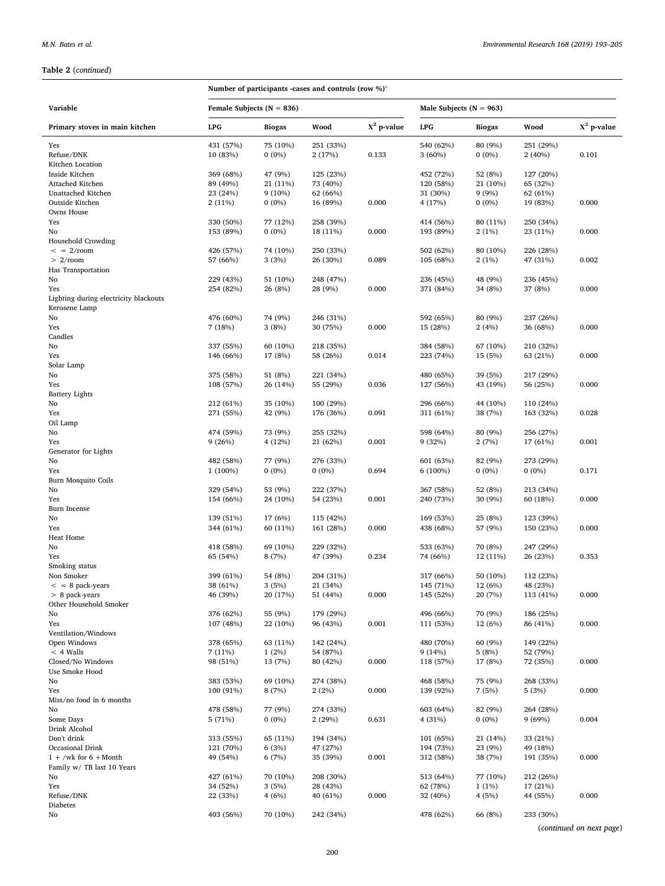# **Table 2** (*continued*)

|                                       |           |                               | Number of participants -cases and controls (row %) <sup>a</sup> |               |                             |               |           |                          |
|---------------------------------------|-----------|-------------------------------|-----------------------------------------------------------------|---------------|-----------------------------|---------------|-----------|--------------------------|
| Variable                              |           | Female Subjects ( $N = 836$ ) |                                                                 |               | Male Subjects ( $N = 963$ ) |               |           |                          |
| Primary stoves in main kitchen        | LPG       | <b>Biogas</b>                 | Wood                                                            | $X^2$ p-value | LPG                         | <b>Biogas</b> | Wood      | $X^2$ p-value            |
| Yes                                   | 431 (57%) | 75 (10%)                      | 251 (33%)                                                       |               | 540 (62%)                   | 80 (9%)       | 251 (29%) |                          |
| Refuse/DNK                            | 10 (83%)  | $0(0\%)$                      | 2(17%)                                                          | 0.133         | 3(60%)                      | $0(0\%)$      | 2(40%)    | 0.101                    |
| Kitchen Location                      |           |                               |                                                                 |               |                             |               |           |                          |
| Inside Kitchen                        | 369 (68%) | 47 (9%)                       | 125 (23%)                                                       |               | 452 (72%)                   | 52 (8%)       | 127 (20%) |                          |
| Attached Kitchen                      | 89 (49%)  | 21 (11%)                      | 73 (40%)                                                        |               | 120 (58%)                   | 21 (10%)      | 65 (32%)  |                          |
| Unattached Kitchen                    | 23 (24%)  | $9(10\%)$                     | 62 (66%)                                                        |               | 31 (30%)                    | 9(9%)         | 62 (61%)  |                          |
| Outside Kitchen                       | 2 (11%)   | $0(0\%)$                      | 16 (89%)                                                        | 0.000         | 4 (17%)                     | $0(0\%)$      | 19 (83%)  | 0.000                    |
| Owns House                            |           |                               |                                                                 |               |                             |               |           |                          |
| Yes                                   | 330 (50%) | 77 (12%)                      | 258 (39%)                                                       |               | 414 (56%)                   | 80 (11%)      | 250 (34%) |                          |
| No                                    | 153 (89%) | $0(0\%)$                      | 18 (11%)                                                        | 0.000         | 193 (89%)                   | 2(1%)         | 23 (11%)  | 0.000                    |
| Household Crowding                    |           |                               |                                                                 |               |                             |               |           |                          |
| $\leq$ = 2/room                       | 426 (57%) | 74 (10%)                      | 250 (33%)                                                       |               | 502 (62%)                   | 80 (10%)      | 226 (28%) |                          |
| $> 2$ /room                           | 57 (66%)  | 3(3%)                         | 26 (30%)                                                        | 0.089         | 105 (68%)                   | 2(1%)         | 47 (31%)  | 0.002                    |
| Has Transportation                    |           |                               |                                                                 |               |                             |               |           |                          |
| No                                    | 229 (43%) | 51 (10%)                      | 248 (47%)                                                       |               | 236 (45%)                   | 48 (9%)       | 236 (45%) |                          |
| Yes                                   | 254 (82%) | 26 (8%)                       | 28 (9%)                                                         | 0.000         | 371 (84%)                   | 34 (8%)       | 37 (8%)   | 0.000                    |
| Lighting during electricity blackouts |           |                               |                                                                 |               |                             |               |           |                          |
| Kerosene Lamp                         |           |                               |                                                                 |               |                             |               |           |                          |
| No                                    | 476 (60%) | 74 (9%)                       | 246 (31%)                                                       |               | 592 (65%)                   | 80 (9%)       | 237 (26%) |                          |
| Yes                                   | 7(18%)    | 3(8%)                         | 30 (75%)                                                        | 0.000         | 15 (28%)                    | 2(4%)         | 36 (68%)  | 0.000                    |
| Candles                               |           |                               |                                                                 |               |                             |               |           |                          |
| No                                    | 337 (55%) | 60 (10%)                      | 218 (35%)                                                       |               | 384 (58%)                   | 67 (10%)      | 210 (32%) |                          |
| Yes                                   | 146 (66%) | 17 (8%)                       | 58 (26%)                                                        | 0.014         | 223 (74%)                   | 15 (5%)       | 63 (21%)  | 0.000                    |
| Solar Lamp                            |           |                               |                                                                 |               |                             |               |           |                          |
|                                       | 375 (58%) | 51 (8%)                       | 221 (34%)                                                       |               | 480 (65%)                   | 39 (5%)       | 217 (29%) |                          |
| No                                    |           |                               |                                                                 |               |                             |               |           |                          |
| Yes                                   | 108 (57%) | 26 (14%)                      | 55 (29%)                                                        | 0.036         | 127 (56%)                   | 43 (19%)      | 56 (25%)  | 0.000                    |
| <b>Battery Lights</b>                 |           |                               |                                                                 |               |                             |               |           |                          |
| No                                    | 212 (61%) | 35 (10%)                      | 100 (29%)                                                       |               | 296 (66%)                   | 44 (10%)      | 110 (24%) |                          |
| Yes                                   | 271 (55%) | 42 (9%)                       | 176 (36%)                                                       | 0.091         | 311 (61%)                   | 38 (7%)       | 163 (32%) | 0.028                    |
| Oil Lamp                              |           |                               |                                                                 |               |                             |               |           |                          |
| No                                    | 474 (59%) | 73 (9%)                       | 255 (32%)                                                       |               | 598 (64%)                   | 80 (9%)       | 256 (27%) |                          |
| Yes                                   | 9(26%)    | 4(12%)                        | 21 (62%)                                                        | 0.001         | 9 (32%)                     | 2(7%)         | 17 (61%)  | 0.001                    |
| Generator for Lights                  |           |                               |                                                                 |               |                             |               |           |                          |
| No                                    | 482 (58%) | 77 (9%)                       | 276 (33%)                                                       |               | 601 (63%)                   | 82 (9%)       | 273 (29%) |                          |
| Yes                                   | 1 (100%)  | $0(0\%)$                      | $0(0\%)$                                                        | 0.694         | $6(100\%)$                  | $0(0\%)$      | $0(0\%)$  | 0.171                    |
| Burn Mosquito Coils                   |           |                               |                                                                 |               |                             |               |           |                          |
| No                                    | 329 (54%) | 53 (9%)                       | 222 (37%)                                                       |               | 367 (58%)                   | 52 (8%)       | 213 (34%) |                          |
| Yes                                   | 154 (66%) | 24 (10%)                      | 54 (23%)                                                        | 0.001         | 240 (73%)                   | 30 (9%)       | 60 (18%)  | 0.000                    |
| Burn Incense                          |           |                               |                                                                 |               |                             |               |           |                          |
| No                                    | 139 (51%) | 17 (6%)                       | 115 (42%)                                                       |               | 169 (53%)                   | 25 (8%)       | 123 (39%) |                          |
| Yes                                   | 344 (61%) | 60 (11%)                      | 161 (28%)                                                       | 0.000         | 438 (68%)                   | 57 (9%)       | 150 (23%) | 0.000                    |
| Heat Home                             |           |                               |                                                                 |               |                             |               |           |                          |
| No                                    | 418 (58%) | 69 (10%)                      | 229 (32%)                                                       |               | 533 (63%)                   | 70 (8%)       | 247 (29%) |                          |
| Yes                                   | 65 (54%)  | 8(7%)                         | 47 (39%)                                                        | 0.234         | 74 (66%)                    | 12 (11%)      | 26 (23%)  | 0.353                    |
| Smoking status                        |           |                               |                                                                 |               |                             |               |           |                          |
| Non Smoker                            | 399 (61%) | 54 (8%)                       | 204 (31%)                                                       |               | 317 (66%)                   | 50 (10%)      | 112 (23%) |                          |
| $<\,=\,8$ pack-years                  | 38 (61%)  | 3(5%)                         | 21 (34%)                                                        |               | 145 (71%)                   | 12 (6%)       | 48 (23%)  |                          |
| $> 8$ pack-years                      | 46 (39%)  | 20 (17%)                      | 51 (44%)                                                        | 0.000         | 145 (52%)                   | 20 (7%)       | 113 (41%) | 0.000                    |
| Other Household Smoker                |           |                               |                                                                 |               |                             |               |           |                          |
| No                                    | 376 (62%) | 55 (9%)                       | 179 (29%)                                                       |               | 496 (66%)                   | 70 (9%)       | 186 (25%) |                          |
| Yes                                   | 107 (48%) | 22 (10%)                      | 96 (43%)                                                        | 0.001         | 111 (53%)                   | 12 (6%)       | 86 (41%)  | 0.000                    |
| Ventilation/Windows                   |           |                               |                                                                 |               |                             |               |           |                          |
| Open Windows                          | 378 (65%) | 63 (11%)                      | 142 (24%)                                                       |               | 480 (70%)                   | 60 (9%)       | 149 (22%) |                          |
| $< 4$ Walls                           | 7(11%)    | $1(2\%)$                      | 54 (87%)                                                        |               | 9(14%)                      | 5(8%)         | 52 (79%)  |                          |
| Closed/No Windows                     | 98 (51%)  | 13 (7%)                       | 80 (42%)                                                        | 0.000         | 118 (57%)                   | 17 (8%)       | 72 (35%)  | 0.000                    |
| Use Smoke Hood                        |           |                               |                                                                 |               |                             |               |           |                          |
| No                                    | 383 (53%) | 69 (10%)                      | 274 (38%)                                                       |               | 468 (58%)                   | 75 (9%)       | 268 (33%) |                          |
| Yes                                   | 100 (91%) | 8 (7%)                        | 2(2%)                                                           | 0.000         | 139 (92%)                   | 7(5%)         | 5 (3%)    | 0.000                    |
| Miss/no food in 6 months              |           |                               |                                                                 |               |                             |               |           |                          |
| No                                    | 478 (58%) | 77 (9%)                       | 274 (33%)                                                       |               | 603 (64%)                   | 82 (9%)       | 264 (28%) |                          |
| Some Days                             | 5(71%)    | $0(0\%)$                      | 2(29%)                                                          | 0.631         | 4 (31%)                     | $0(0\%)$      | 9 (69%)   | 0.004                    |
| Drink Alcohol                         |           |                               |                                                                 |               |                             |               |           |                          |
| Don't drink                           | 313 (55%) | 65 (11%)                      | 194 (34%)                                                       |               | 101 (65%)                   | 21 (14%)      | 33 (21%)  |                          |
| Occasional Drink                      | 121 (70%) | 6(3%)                         | 47 (27%)                                                        |               | 194 (73%)                   | 23 (9%)       | 49 (18%)  |                          |
| $1 +$ /wk for 6 + Month               | 49 (54%)  | 6(7%)                         | 35 (39%)                                                        | 0.001         | 312 (58%)                   | 38 (7%)       | 191 (35%) | 0.000                    |
| Family w/TB last 10 Years             |           |                               |                                                                 |               |                             |               |           |                          |
| No                                    | 427 (61%) | 70 (10%)                      | 208 (30%)                                                       |               | 513 (64%)                   | 77 (10%)      | 212 (26%) |                          |
| Yes                                   | 34 (52%)  | 3(5%)                         | 28 (43%)                                                        |               | 62 (78%)                    | 1(1%)         | 17 (21%)  |                          |
| Refuse/DNK                            | 22 (33%)  | 4(6%)                         | 40 (61%)                                                        | 0.000         | 32 (40%)                    | 4(5%)         | 44 (55%)  | 0.000                    |
| Diabetes                              |           |                               |                                                                 |               |                             |               |           |                          |
| No                                    | 403 (56%) | 70 (10%)                      | 242 (34%)                                                       |               | 478 (62%)                   | 66 (8%)       | 233 (30%) |                          |
|                                       |           |                               |                                                                 |               |                             |               |           |                          |
|                                       |           |                               |                                                                 |               |                             |               |           | (continued on next page) |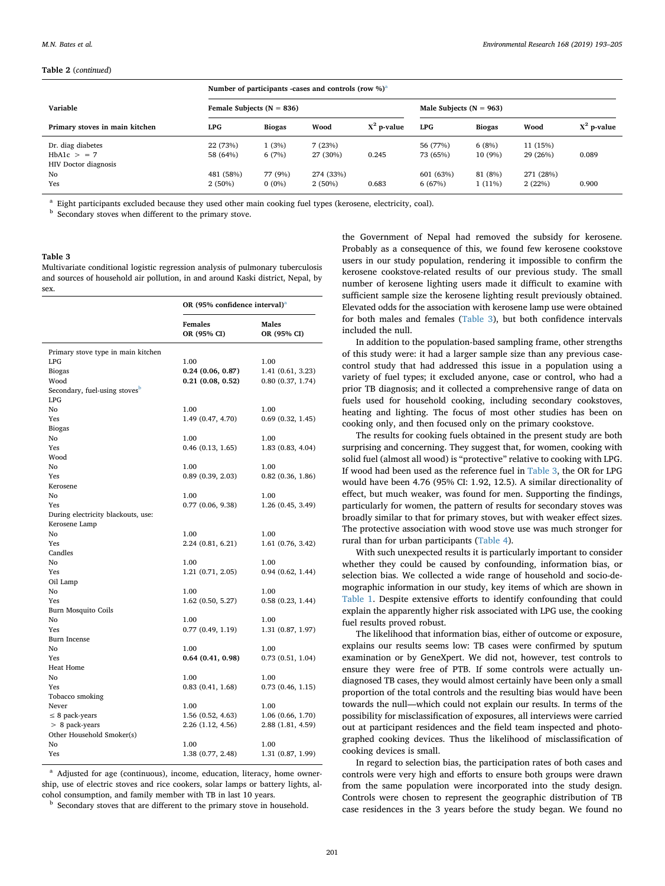### **Table 2** (*continued*)

|                                |                               |               | Number of participants -cases and controls (row $\%$ ) <sup>a</sup> |               |                             |               |           |               |  |  |  |  |
|--------------------------------|-------------------------------|---------------|---------------------------------------------------------------------|---------------|-----------------------------|---------------|-----------|---------------|--|--|--|--|
| Variable                       | Female Subjects ( $N = 836$ ) |               |                                                                     |               | Male Subjects ( $N = 963$ ) |               |           |               |  |  |  |  |
| Primary stoves in main kitchen | LPG                           | <b>Biogas</b> | Wood                                                                | $X^2$ p-value | LPG                         | <b>Biogas</b> | Wood      | $X^2$ p-value |  |  |  |  |
| Dr. diag diabetes              | 22 (73%)                      | 1(3%)         | 7(23%)                                                              |               | 56 (77%)                    | 6(8%)         | 11(15%)   |               |  |  |  |  |
| HbA1c > 7                      | 58 (64%)                      | 6(7%)         | 27 (30%)                                                            | 0.245         | 73 (65%)                    | 10(9%)        | 29 (26%)  | 0.089         |  |  |  |  |
| <b>HIV</b> Doctor diagnosis    |                               |               |                                                                     |               |                             |               |           |               |  |  |  |  |
| No                             | 481 (58%)                     | 77 (9%)       | 274 (33%)                                                           |               | 601 (63%)                   | 81 (8%)       | 271 (28%) |               |  |  |  |  |
| Yes                            | 2(50%)                        | $0(0\%)$      | 2(50%)                                                              | 0.683         | 6(67%)                      | $1(11\%)$     | 2(22%)    | 0.900         |  |  |  |  |

<span id="page-8-1"></span><sup>a</sup> Eight participants excluded because they used other main cooking fuel types (kerosene, electricity, coal).

<span id="page-8-2"></span><sup>b</sup> Secondary stoves when different to the primary stove.

# <span id="page-8-0"></span>**Table 3**

Multivariate conditional logistic regression analysis of pulmonary tuberculosis and sources of household air pollution, in and around Kaski district, Nepal, by sex.

|                                           | OR (95% confidence interval) <sup>a</sup> |                             |
|-------------------------------------------|-------------------------------------------|-----------------------------|
|                                           | <b>Females</b><br>OR (95% CI)             | <b>Males</b><br>OR (95% CI) |
| Primary stove type in main kitchen        |                                           |                             |
| LPG                                       | 1.00                                      | 1.00                        |
| <b>Biogas</b>                             | 0.24(0.06, 0.87)                          | 1.41(0.61, 3.23)            |
| Wood                                      | 0.21(0.08, 0.52)                          | 0.80(0.37, 1.74)            |
| Secondary, fuel-using stoves <sup>D</sup> |                                           |                             |
| LPG                                       |                                           |                             |
| No                                        | 1.00                                      | 1.00                        |
| Yes                                       | 1.49 (0.47, 4.70)                         | 0.69(0.32, 1.45)            |
| <b>Biogas</b>                             |                                           |                             |
| No                                        | 1.00                                      | 1.00                        |
| Yes                                       | $0.46$ $(0.13, 1.65)$                     | 1.83(0.83, 4.04)            |
| Wood                                      |                                           |                             |
| No                                        | 1.00                                      | 1.00                        |
| Yes                                       | 0.89(0.39, 2.03)                          | 0.82(0.36, 1.86)            |
| Kerosene                                  |                                           |                             |
| No                                        | 1.00                                      | 1.00                        |
| Yes                                       | 0.77(0.06, 9.38)                          | 1.26(0.45, 3.49)            |
| During electricity blackouts, use:        |                                           |                             |
| Kerosene Lamp                             |                                           |                             |
| No                                        | 1.00                                      | 1.00                        |
| Yes                                       | 2.24(0.81, 6.21)                          | 1.61(0.76, 3.42)            |
| Candles                                   |                                           |                             |
| No                                        | 1.00                                      | 1.00                        |
| Yes                                       | 1.21 (0.71, 2.05)                         | 0.94(0.62, 1.44)            |
| Oil Lamp                                  |                                           |                             |
| No                                        | 1.00                                      | 1.00                        |
| Yes                                       | 1.62 (0.50, 5.27)                         | 0.58(0.23, 1.44)            |
| Burn Mosquito Coils                       |                                           |                             |
| No                                        | 1.00                                      | 1.00                        |
| Yes                                       | 0.77(0.49, 1.19)                          | 1.31 (0.87, 1.97)           |
| <b>Burn Incense</b>                       |                                           |                             |
| No                                        | 1.00                                      | 1.00                        |
| Yes                                       | 0.64(0.41, 0.98)                          | 0.73(0.51, 1.04)            |
| <b>Heat Home</b>                          |                                           |                             |
| No                                        | 1.00                                      | 1.00                        |
| Yes                                       | 0.83(0.41, 1.68)                          | 0.73(0.46, 1.15)            |
| Tobacco smoking                           |                                           |                             |
| Never                                     | 1.00                                      | 1.00                        |
| $\leq$ 8 pack-years<br>$> 8$ pack-years   | 1.56(0.52, 4.63)                          | 1.06 (0.66, 1.70)           |
| Other Household Smoker(s)                 | 2.26 (1.12, 4.56)                         | 2.88 (1.81, 4.59)           |
| No                                        | 1.00                                      | 1.00                        |
| Yes                                       |                                           | 1.31 (0.87, 1.99)           |
|                                           | 1.38 (0.77, 2.48)                         |                             |

<span id="page-8-3"></span><sup>a</sup> Adjusted for age (continuous), income, education, literacy, home ownership, use of electric stoves and rice cookers, solar lamps or battery lights, alcohol consumption, and family member with TB in last 10 years.

<span id="page-8-4"></span><sup>b</sup> Secondary stoves that are different to the primary stove in household.

the Government of Nepal had removed the subsidy for kerosene. Probably as a consequence of this, we found few kerosene cookstove users in our study population, rendering it impossible to confirm the kerosene cookstove-related results of our previous study. The small number of kerosene lighting users made it difficult to examine with sufficient sample size the kerosene lighting result previously obtained. Elevated odds for the association with kerosene lamp use were obtained for both males and females ([Table 3\)](#page-8-0), but both confidence intervals included the null.

In addition to the population-based sampling frame, other strengths of this study were: it had a larger sample size than any previous casecontrol study that had addressed this issue in a population using a variety of fuel types; it excluded anyone, case or control, who had a prior TB diagnosis; and it collected a comprehensive range of data on fuels used for household cooking, including secondary cookstoves, heating and lighting. The focus of most other studies has been on cooking only, and then focused only on the primary cookstove.

The results for cooking fuels obtained in the present study are both surprising and concerning. They suggest that, for women, cooking with solid fuel (almost all wood) is "protective" relative to cooking with LPG. If wood had been used as the reference fuel in [Table 3](#page-8-0), the OR for LPG would have been 4.76 (95% CI: 1.92, 12.5). A similar directionality of effect, but much weaker, was found for men. Supporting the findings, particularly for women, the pattern of results for secondary stoves was broadly similar to that for primary stoves, but with weaker effect sizes. The protective association with wood stove use was much stronger for rural than for urban participants [\(Table 4](#page-9-0)).

With such unexpected results it is particularly important to consider whether they could be caused by confounding, information bias, or selection bias. We collected a wide range of household and socio-demographic information in our study, key items of which are shown in [Table 1](#page-3-0). Despite extensive efforts to identify confounding that could explain the apparently higher risk associated with LPG use, the cooking fuel results proved robust.

The likelihood that information bias, either of outcome or exposure, explains our results seems low: TB cases were confirmed by sputum examination or by GeneXpert. We did not, however, test controls to ensure they were free of PTB. If some controls were actually undiagnosed TB cases, they would almost certainly have been only a small proportion of the total controls and the resulting bias would have been towards the null—which could not explain our results. In terms of the possibility for misclassification of exposures, all interviews were carried out at participant residences and the field team inspected and photographed cooking devices. Thus the likelihood of misclassification of cooking devices is small.

In regard to selection bias, the participation rates of both cases and controls were very high and efforts to ensure both groups were drawn from the same population were incorporated into the study design. Controls were chosen to represent the geographic distribution of TB case residences in the 3 years before the study began. We found no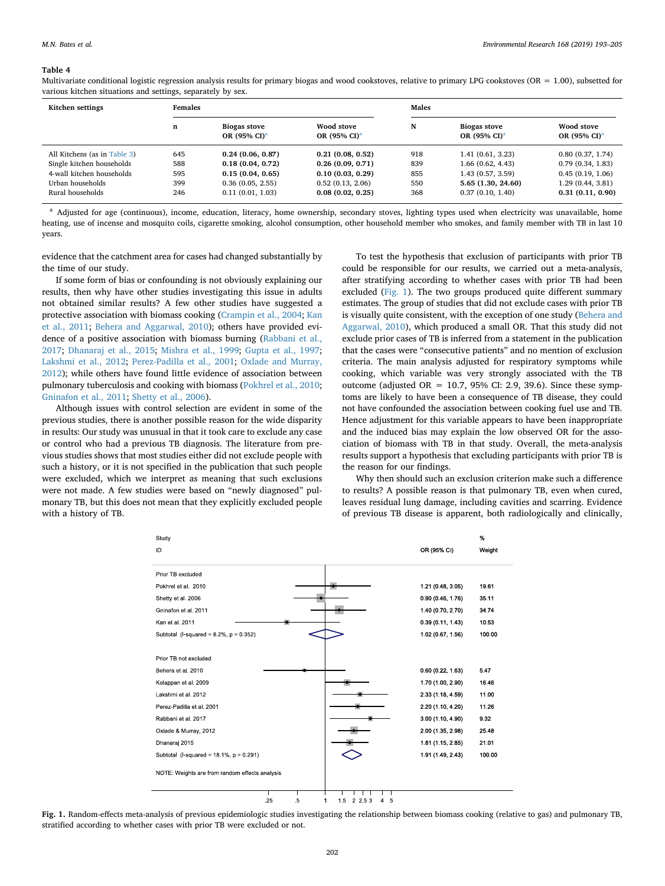#### <span id="page-9-0"></span>**Table 4**

Multivariate conditional logistic regression analysis results for primary biogas and wood cookstoves, relative to primary LPG cookstoves (OR = 1.00), subsetted for various kitchen situations and settings, separately by sex.

| Kitchen settings             | Females |                                                 |                                       | Males |                                          |                                        |
|------------------------------|---------|-------------------------------------------------|---------------------------------------|-------|------------------------------------------|----------------------------------------|
|                              | n       | <b>Biogas stove</b><br>OR (95% CI) <sup>a</sup> | Wood stove<br>OR (95% CD <sup>a</sup> | N     | Biogas stove<br>OR (95% CI) <sup>a</sup> | Wood stove<br>OR (95% CI) <sup>a</sup> |
| All Kitchens (as in Table 3) | 645     | 0.24(0.06, 0.87)                                | 0.21(0.08, 0.52)                      | 918   | 1.41(0.61, 3.23)                         | 0.80(0.37, 1.74)                       |
| Single kitchen households    | 588     | 0.18(0.04, 0.72)                                | 0.26(0.09, 0.71)                      | 839   | 1.66(0.62, 4.43)                         | 0.79(0.34, 1.83)                       |
| 4-wall kitchen households    | 595     | 0.15(0.04, 0.65)                                | 0.10(0.03, 0.29)                      | 855   | 1.43(0.57, 3.59)                         | 0.45(0.19, 1.06)                       |
| Urban households             | 399     | 0.36(0.05, 2.55)                                | 0.52(0.13, 2.06)                      | 550   | 5.65(1.30, 24.60)                        | 1.29(0.44, 3.81)                       |
| Rural households             | 246     | 0.11(0.01, 1.03)                                | 0.08(0.02, 0.25)                      | 368   | 0.37(0.10, 1.40)                         | 0.31(0.11, 0.90)                       |

<span id="page-9-2"></span><sup>a</sup> Adjusted for age (continuous), income, education, literacy, home ownership, secondary stoves, lighting types used when electricity was unavailable, home heating, use of incense and mosquito coils, cigarette smoking, alcohol consumption, other household member who smokes, and family member with TB in last 10 years.

evidence that the catchment area for cases had changed substantially by the time of our study.

If some form of bias or confounding is not obviously explaining our results, then why have other studies investigating this issue in adults not obtained similar results? A few other studies have suggested a protective association with biomass cooking [\(Crampin et al., 2004;](#page-11-6) [Kan](#page-12-11) [et al., 2011;](#page-12-11) [Behera and Aggarwal, 2010\)](#page-11-9); others have provided evidence of a positive association with biomass burning ([Rabbani et al.,](#page-12-8) [2017;](#page-12-8) [Dhanaraj et al., 2015;](#page-11-5) [Mishra et al., 1999](#page-12-10); [Gupta et al., 1997](#page-11-7); [Lakshmi et al., 2012;](#page-12-12) [Perez-Padilla et al., 2001](#page-12-13); [Oxlade and Murray,](#page-12-14) [2012\)](#page-12-14); while others have found little evidence of association between pulmonary tuberculosis and cooking with biomass [\(Pokhrel et al., 2010](#page-12-7); [Gninafon et al., 2011](#page-11-8); [Shetty et al., 2006](#page-12-15)).

Although issues with control selection are evident in some of the previous studies, there is another possible reason for the wide disparity in results: Our study was unusual in that it took care to exclude any case or control who had a previous TB diagnosis. The literature from previous studies shows that most studies either did not exclude people with such a history, or it is not specified in the publication that such people were excluded, which we interpret as meaning that such exclusions were not made. A few studies were based on "newly diagnosed" pulmonary TB, but this does not mean that they explicitly excluded people with a history of TB.

 $\sim$ 

To test the hypothesis that exclusion of participants with prior TB could be responsible for our results, we carried out a meta-analysis, after stratifying according to whether cases with prior TB had been excluded [\(Fig. 1](#page-9-1)). The two groups produced quite different summary estimates. The group of studies that did not exclude cases with prior TB is visually quite consistent, with the exception of one study [\(Behera and](#page-11-9) [Aggarwal, 2010](#page-11-9)), which produced a small OR. That this study did not exclude prior cases of TB is inferred from a statement in the publication that the cases were "consecutive patients" and no mention of exclusion criteria. The main analysis adjusted for respiratory symptoms while cooking, which variable was very strongly associated with the TB outcome (adjusted OR =  $10.7$ , 95% CI: 2.9, 39.6). Since these symptoms are likely to have been a consequence of TB disease, they could not have confounded the association between cooking fuel use and TB. Hence adjustment for this variable appears to have been inappropriate and the induced bias may explain the low observed OR for the association of biomass with TB in that study. Overall, the meta-analysis results support a hypothesis that excluding participants with prior TB is the reason for our findings.

Why then should such an exclusion criterion make such a difference to results? A possible reason is that pulmonary TB, even when cured, leaves residual lung damage, including cavities and scarring. Evidence of previous TB disease is apparent, both radiologically and clinically,

<span id="page-9-1"></span>

|                                                |                   | 70     |
|------------------------------------------------|-------------------|--------|
|                                                | OR (95% CI)       | Weight |
|                                                |                   |        |
|                                                | 1.21 (0.48, 3.05) | 19.61  |
|                                                | 0.90 (0.46, 1.76) | 35.11  |
|                                                | 1.40 (0.70, 2.70) | 34 74  |
|                                                | 0.39(0.11, 1.43)  | 10.53  |
|                                                | 1.02 (0.67, 1.56) | 100.00 |
|                                                |                   |        |
|                                                | 0.60(0.22, 1.63)  | 5.47   |
|                                                | 1 70 (1 00, 2 90) | 1646   |
|                                                | 2 33 (1 18, 4 59) | 11.00  |
|                                                | 2.20 (1.10, 4.20) | 11 26  |
|                                                | 3.00 (1.10, 4.90) | 9.32   |
|                                                | 2.00 (1.35, 2.98) | 25 48  |
|                                                | 1.81 (1.15, 2.85) | 21 01  |
|                                                | 1 91 (1 49, 2 43) | 100.00 |
| NOTE: Weights are from random effects analysis |                   |        |
|                                                |                   |        |

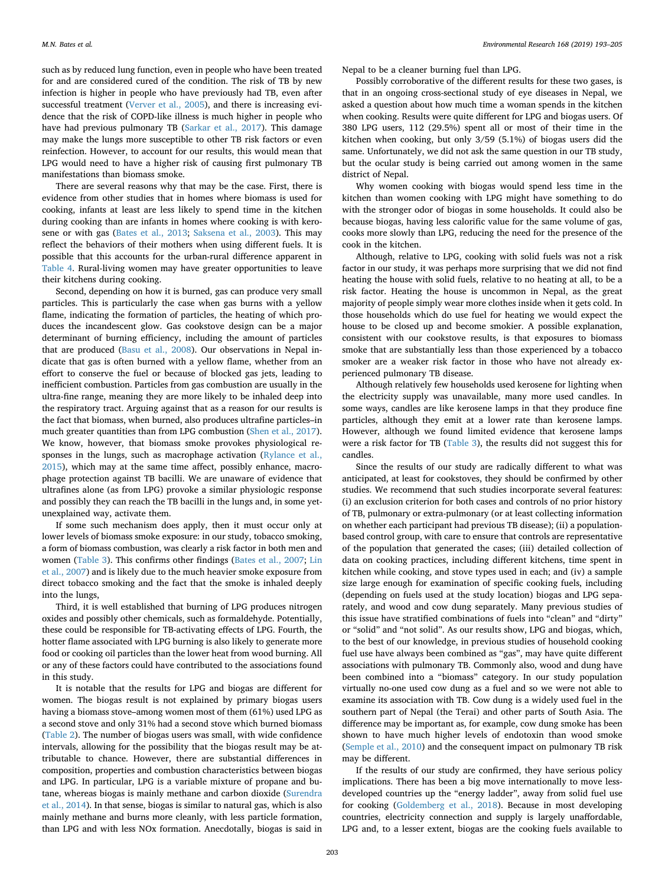such as by reduced lung function, even in people who have been treated for and are considered cured of the condition. The risk of TB by new infection is higher in people who have previously had TB, even after successful treatment ([Verver et al., 2005](#page-12-16)), and there is increasing evidence that the risk of COPD-like illness is much higher in people who have had previous pulmonary TB ([Sarkar et al., 2017](#page-12-17)). This damage may make the lungs more susceptible to other TB risk factors or even reinfection. However, to account for our results, this would mean that LPG would need to have a higher risk of causing first pulmonary TB manifestations than biomass smoke.

There are several reasons why that may be the case. First, there is evidence from other studies that in homes where biomass is used for cooking, infants at least are less likely to spend time in the kitchen during cooking than are infants in homes where cooking is with kerosene or with gas [\(Bates et al., 2013;](#page-11-10) [Saksena et al., 2003\)](#page-12-18). This may reflect the behaviors of their mothers when using different fuels. It is possible that this accounts for the urban-rural difference apparent in [Table 4.](#page-9-0) Rural-living women may have greater opportunities to leave their kitchens during cooking.

Second, depending on how it is burned, gas can produce very small particles. This is particularly the case when gas burns with a yellow flame, indicating the formation of particles, the heating of which produces the incandescent glow. Gas cookstove design can be a major determinant of burning efficiency, including the amount of particles that are produced [\(Basu et al., 2008](#page-11-11)). Our observations in Nepal indicate that gas is often burned with a yellow flame, whether from an effort to conserve the fuel or because of blocked gas jets, leading to inefficient combustion. Particles from gas combustion are usually in the ultra-fine range, meaning they are more likely to be inhaled deep into the respiratory tract. Arguing against that as a reason for our results is the fact that biomass, when burned, also produces ultrafine particles–in much greater quantities than from LPG combustion ([Shen et al., 2017](#page-12-19)). We know, however, that biomass smoke provokes physiological responses in the lungs, such as macrophage activation [\(Rylance et al.,](#page-12-20) [2015\)](#page-12-20), which may at the same time affect, possibly enhance, macrophage protection against TB bacilli. We are unaware of evidence that ultrafines alone (as from LPG) provoke a similar physiologic response and possibly they can reach the TB bacilli in the lungs and, in some yetunexplained way, activate them.

If some such mechanism does apply, then it must occur only at lower levels of biomass smoke exposure: in our study, tobacco smoking, a form of biomass combustion, was clearly a risk factor in both men and women [\(Table 3\)](#page-8-0). This confirms other findings [\(Bates et al., 2007;](#page-11-12) [Lin](#page-12-21) [et al., 2007](#page-12-21)) and is likely due to the much heavier smoke exposure from direct tobacco smoking and the fact that the smoke is inhaled deeply into the lungs,

Third, it is well established that burning of LPG produces nitrogen oxides and possibly other chemicals, such as formaldehyde. Potentially, these could be responsible for TB-activating effects of LPG. Fourth, the hotter flame associated with LPG burning is also likely to generate more food or cooking oil particles than the lower heat from wood burning. All or any of these factors could have contributed to the associations found in this study.

It is notable that the results for LPG and biogas are different for women. The biogas result is not explained by primary biogas users having a biomass stove–among women most of them (61%) used LPG as a second stove and only 31% had a second stove which burned biomass ([Table 2\)](#page-6-0). The number of biogas users was small, with wide confidence intervals, allowing for the possibility that the biogas result may be attributable to chance. However, there are substantial differences in composition, properties and combustion characteristics between biogas and LPG. In particular, LPG is a variable mixture of propane and butane, whereas biogas is mainly methane and carbon dioxide ([Surendra](#page-12-22) [et al., 2014](#page-12-22)). In that sense, biogas is similar to natural gas, which is also mainly methane and burns more cleanly, with less particle formation, than LPG and with less NOx formation. Anecdotally, biogas is said in

Nepal to be a cleaner burning fuel than LPG.

Possibly corroborative of the different results for these two gases, is that in an ongoing cross-sectional study of eye diseases in Nepal, we asked a question about how much time a woman spends in the kitchen when cooking. Results were quite different for LPG and biogas users. Of 380 LPG users, 112 (29.5%) spent all or most of their time in the kitchen when cooking, but only 3/59 (5.1%) of biogas users did the same. Unfortunately, we did not ask the same question in our TB study, but the ocular study is being carried out among women in the same district of Nepal.

Why women cooking with biogas would spend less time in the kitchen than women cooking with LPG might have something to do with the stronger odor of biogas in some households. It could also be because biogas, having less calorific value for the same volume of gas, cooks more slowly than LPG, reducing the need for the presence of the cook in the kitchen.

Although, relative to LPG, cooking with solid fuels was not a risk factor in our study, it was perhaps more surprising that we did not find heating the house with solid fuels, relative to no heating at all, to be a risk factor. Heating the house is uncommon in Nepal, as the great majority of people simply wear more clothes inside when it gets cold. In those households which do use fuel for heating we would expect the house to be closed up and become smokier. A possible explanation, consistent with our cookstove results, is that exposures to biomass smoke that are substantially less than those experienced by a tobacco smoker are a weaker risk factor in those who have not already experienced pulmonary TB disease.

Although relatively few households used kerosene for lighting when the electricity supply was unavailable, many more used candles. In some ways, candles are like kerosene lamps in that they produce fine particles, although they emit at a lower rate than kerosene lamps. However, although we found limited evidence that kerosene lamps were a risk factor for TB [\(Table 3](#page-8-0)), the results did not suggest this for candles.

Since the results of our study are radically different to what was anticipated, at least for cookstoves, they should be confirmed by other studies. We recommend that such studies incorporate several features: (i) an exclusion criterion for both cases and controls of no prior history of TB, pulmonary or extra-pulmonary (or at least collecting information on whether each participant had previous TB disease); (ii) a populationbased control group, with care to ensure that controls are representative of the population that generated the cases; (iii) detailed collection of data on cooking practices, including different kitchens, time spent in kitchen while cooking, and stove types used in each; and (iv) a sample size large enough for examination of specific cooking fuels, including (depending on fuels used at the study location) biogas and LPG separately, and wood and cow dung separately. Many previous studies of this issue have stratified combinations of fuels into "clean" and "dirty" or "solid" and "not solid". As our results show, LPG and biogas, which, to the best of our knowledge, in previous studies of household cooking fuel use have always been combined as "gas", may have quite different associations with pulmonary TB. Commonly also, wood and dung have been combined into a "biomass" category. In our study population virtually no-one used cow dung as a fuel and so we were not able to examine its association with TB. Cow dung is a widely used fuel in the southern part of Nepal (the Terai) and other parts of South Asia. The difference may be important as, for example, cow dung smoke has been shown to have much higher levels of endotoxin than wood smoke ([Semple et al., 2010\)](#page-12-23) and the consequent impact on pulmonary TB risk may be different.

If the results of our study are confirmed, they have serious policy implications. There has been a big move internationally to move lessdeveloped countries up the "energy ladder", away from solid fuel use for cooking [\(Goldemberg et al., 2018\)](#page-11-13). Because in most developing countries, electricity connection and supply is largely unaffordable, LPG and, to a lesser extent, biogas are the cooking fuels available to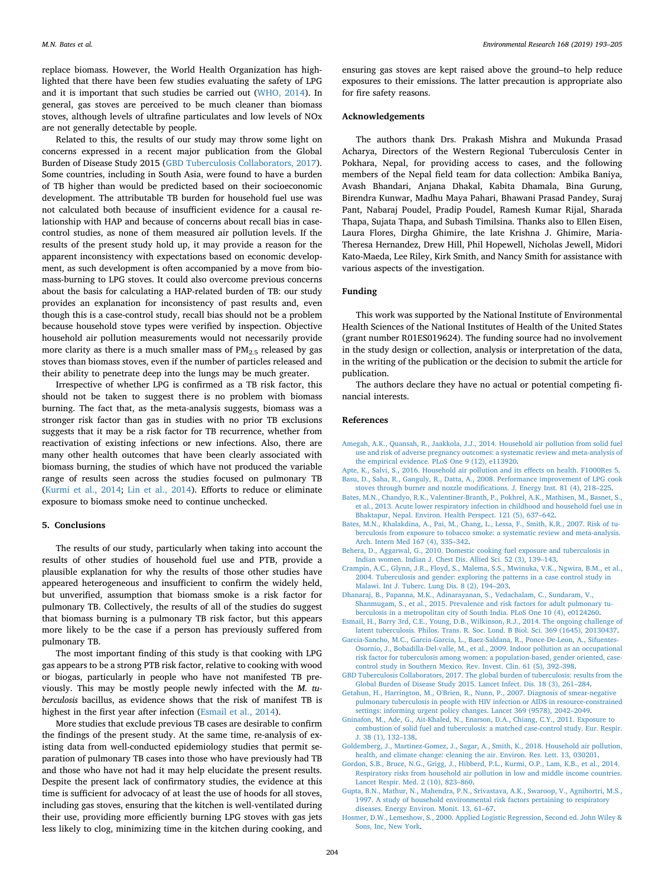replace biomass. However, the World Health Organization has highlighted that there have been few studies evaluating the safety of LPG and it is important that such studies be carried out ([WHO, 2014](#page-12-1)). In general, gas stoves are perceived to be much cleaner than biomass stoves, although levels of ultrafine particulates and low levels of NOx are not generally detectable by people.

Related to this, the results of our study may throw some light on concerns expressed in a recent major publication from the Global Burden of Disease Study 2015 ([GBD Tuberculosis Collaborators, 2017](#page-11-14)). Some countries, including in South Asia, were found to have a burden of TB higher than would be predicted based on their socioeconomic development. The attributable TB burden for household fuel use was not calculated both because of insufficient evidence for a causal relationship with HAP and because of concerns about recall bias in casecontrol studies, as none of them measured air pollution levels. If the results of the present study hold up, it may provide a reason for the apparent inconsistency with expectations based on economic development, as such development is often accompanied by a move from biomass-burning to LPG stoves. It could also overcome previous concerns about the basis for calculating a HAP-related burden of TB: our study provides an explanation for inconsistency of past results and, even though this is a case-control study, recall bias should not be a problem because household stove types were verified by inspection. Objective household air pollution measurements would not necessarily provide more clarity as there is a much smaller mass of  $PM<sub>2.5</sub>$  released by gas stoves than biomass stoves, even if the number of particles released and their ability to penetrate deep into the lungs may be much greater.

Irrespective of whether LPG is confirmed as a TB risk factor, this should not be taken to suggest there is no problem with biomass burning. The fact that, as the meta-analysis suggests, biomass was a stronger risk factor than gas in studies with no prior TB exclusions suggests that it may be a risk factor for TB recurrence, whether from reactivation of existing infections or new infections. Also, there are many other health outcomes that have been clearly associated with biomass burning, the studies of which have not produced the variable range of results seen across the studies focused on pulmonary TB ([Kurmi et al., 2014;](#page-12-5) [Lin et al., 2014](#page-12-6)). Efforts to reduce or eliminate exposure to biomass smoke need to continue unchecked.

#### **5. Conclusions**

The results of our study, particularly when taking into account the results of other studies of household fuel use and PTB, provide a plausible explanation for why the results of those other studies have appeared heterogeneous and insufficient to confirm the widely held, but unverified, assumption that biomass smoke is a risk factor for pulmonary TB. Collectively, the results of all of the studies do suggest that biomass burning is a pulmonary TB risk factor, but this appears more likely to be the case if a person has previously suffered from pulmonary TB.

The most important finding of this study is that cooking with LPG gas appears to be a strong PTB risk factor, relative to cooking with wood or biogas, particularly in people who have not manifested TB previously. This may be mostly people newly infected with the *M. tuberculosis* bacillus, as evidence shows that the risk of manifest TB is highest in the first year after infection ([Esmail et al., 2014\)](#page-11-15).

More studies that exclude previous TB cases are desirable to confirm the findings of the present study. At the same time, re-analysis of existing data from well-conducted epidemiology studies that permit separation of pulmonary TB cases into those who have previously had TB and those who have not had it may help elucidate the present results. Despite the present lack of confirmatory studies, the evidence at this time is sufficient for advocacy of at least the use of hoods for all stoves, including gas stoves, ensuring that the kitchen is well-ventilated during their use, providing more efficiently burning LPG stoves with gas jets less likely to clog, minimizing time in the kitchen during cooking, and

ensuring gas stoves are kept raised above the ground–to help reduce exposures to their emissions. The latter precaution is appropriate also for fire safety reasons.

## **Acknowledgements**

The authors thank Drs. Prakash Mishra and Mukunda Prasad Acharya, Directors of the Western Regional Tuberculosis Center in Pokhara, Nepal, for providing access to cases, and the following members of the Nepal field team for data collection: Ambika Baniya, Avash Bhandari, Anjana Dhakal, Kabita Dhamala, Bina Gurung, Birendra Kunwar, Madhu Maya Pahari, Bhawani Prasad Pandey, Suraj Pant, Nabaraj Poudel, Pradip Poudel, Ramesh Kumar Rijal, Sharada Thapa, Sujata Thapa, and Subash Timilsina. Thanks also to Ellen Eisen, Laura Flores, Dirgha Ghimire, the late Krishna J. Ghimire, Maria-Theresa Hernandez, Drew Hill, Phil Hopewell, Nicholas Jewell, Midori Kato-Maeda, Lee Riley, Kirk Smith, and Nancy Smith for assistance with various aspects of the investigation.

## **Funding**

This work was supported by the National Institute of Environmental Health Sciences of the National Institutes of Health of the United States (grant number R01ES019624). The funding source had no involvement in the study design or collection, analysis or interpretation of the data, in the writing of the publication or the decision to submit the article for publication.

The authors declare they have no actual or potential competing financial interests.

#### **References**

- <span id="page-11-1"></span>[Amegah, A.K., Quansah, R., Jaakkola, J.J., 2014. Household air pollution from solid fuel](http://refhub.elsevier.com/S0013-9351(18)30522-X/sbref1) [use and risk of adverse pregnancy outcomes: a systematic review and meta-analysis of](http://refhub.elsevier.com/S0013-9351(18)30522-X/sbref1) [the empirical evidence. PLoS One 9 \(12\), e113920.](http://refhub.elsevier.com/S0013-9351(18)30522-X/sbref1)
- <span id="page-11-11"></span><span id="page-11-2"></span>[Apte, K., Salvi, S., 2016. Household air pollution and its effects on health. F1000Res 5.](http://refhub.elsevier.com/S0013-9351(18)30522-X/sbref2) [Basu, D., Saha, R., Ganguly, R., Datta, A., 2008. Performance improvement of LPG cook](http://refhub.elsevier.com/S0013-9351(18)30522-X/sbref3)
- <span id="page-11-10"></span>[stoves through burner and nozzle modifications. J. Energy Inst. 81 \(4\), 218–225.](http://refhub.elsevier.com/S0013-9351(18)30522-X/sbref3) [Bates, M.N., Chandyo, R.K., Valentiner-Branth, P., Pokhrel, A.K., Mathisen, M., Basnet, S.,](http://refhub.elsevier.com/S0013-9351(18)30522-X/sbref4) [et al., 2013. Acute lower respiratory infection in childhood and household fuel use in](http://refhub.elsevier.com/S0013-9351(18)30522-X/sbref4)
- <span id="page-11-12"></span>[Bhaktapur, Nepal. Environ. Health Perspect. 121 \(5\), 637–642.](http://refhub.elsevier.com/S0013-9351(18)30522-X/sbref4) [Bates, M.N., Khalakdina, A., Pai, M., Chang, L., Lessa, F., Smith, K.R., 2007. Risk of tu](http://refhub.elsevier.com/S0013-9351(18)30522-X/sbref5)[berculosis from exposure to tobacco smoke: a systematic review and meta-analysis.](http://refhub.elsevier.com/S0013-9351(18)30522-X/sbref5) [Arch. Intern Med 167 \(4\), 335–342](http://refhub.elsevier.com/S0013-9351(18)30522-X/sbref5).
- <span id="page-11-9"></span>[Behera, D., Aggarwal, G., 2010. Domestic cooking fuel exposure and tuberculosis in](http://refhub.elsevier.com/S0013-9351(18)30522-X/sbref6) [Indian women. Indian J. Chest Dis. Allied Sci. 52 \(3\), 139–143](http://refhub.elsevier.com/S0013-9351(18)30522-X/sbref6).
- <span id="page-11-6"></span>[Crampin, A.C., Glynn, J.R., Floyd, S., Malema, S.S., Mwinuka, V.K., Ngwira, B.M., et al.,](http://refhub.elsevier.com/S0013-9351(18)30522-X/sbref7) [2004. Tuberculosis and gender: exploring the patterns in a case control study in](http://refhub.elsevier.com/S0013-9351(18)30522-X/sbref7) [Malawi. Int J. Tuberc. Lung Dis. 8 \(2\), 194–203](http://refhub.elsevier.com/S0013-9351(18)30522-X/sbref7).
- <span id="page-11-5"></span>[Dhanaraj, B., Papanna, M.K., Adinarayanan, S., Vedachalam, C., Sundaram, V.,](http://refhub.elsevier.com/S0013-9351(18)30522-X/sbref8) [Shanmugam, S., et al., 2015. Prevalence and risk factors for adult pulmonary tu](http://refhub.elsevier.com/S0013-9351(18)30522-X/sbref8)[berculosis in a metropolitan city of South India. PLoS One 10 \(4\), e0124260.](http://refhub.elsevier.com/S0013-9351(18)30522-X/sbref8)
- <span id="page-11-15"></span>[Esmail, H., Barry 3rd, C.E., Young, D.B., Wilkinson, R.J., 2014. The ongoing challenge of](http://refhub.elsevier.com/S0013-9351(18)30522-X/sbref9) [latent tuberculosis. Philos. Trans. R. Soc. Lond. B Biol. Sci. 369 \(1645\), 20130437.](http://refhub.elsevier.com/S0013-9351(18)30522-X/sbref9)
- [Garcia-Sancho, M.C., Garcia-Garcia, L., Baez-Saldana, R., Ponce-De-Leon, A., Sifuentes-](http://refhub.elsevier.com/S0013-9351(18)30522-X/sbref10)[Osornio, J., Bobadilla-Del-valle, M., et al., 2009. Indoor pollution as an occupational](http://refhub.elsevier.com/S0013-9351(18)30522-X/sbref10) [risk factor for tuberculosis among women: a population-based, gender oriented, case](http://refhub.elsevier.com/S0013-9351(18)30522-X/sbref10)[control study in Southern Mexico. Rev. Invest. Clin. 61 \(5\), 392–398.](http://refhub.elsevier.com/S0013-9351(18)30522-X/sbref10)
- <span id="page-11-14"></span>[GBD Tuberculosis Collaborators, 2017. The global burden of tuberculosis: results from the](http://refhub.elsevier.com/S0013-9351(18)30522-X/sbref11) [Global Burden of Disease Study 2015. Lancet Infect. Dis. 18 \(3\), 261–284.](http://refhub.elsevier.com/S0013-9351(18)30522-X/sbref11)
- <span id="page-11-3"></span>[Getahun, H., Harrington, M., O'Brien, R., Nunn, P., 2007. Diagnosis of smear-negative](http://refhub.elsevier.com/S0013-9351(18)30522-X/sbref12) [pulmonary tuberculosis in people with HIV infection or AIDS in resource-constrained](http://refhub.elsevier.com/S0013-9351(18)30522-X/sbref12) [settings: informing urgent policy changes. Lancet 369 \(9578\), 2042–2049.](http://refhub.elsevier.com/S0013-9351(18)30522-X/sbref12)
- <span id="page-11-8"></span>[Gninafon, M., Ade, G., Ait-Khaled, N., Enarson, D.A., Chiang, C.Y., 2011. Exposure to](http://refhub.elsevier.com/S0013-9351(18)30522-X/sbref13) [combustion of solid fuel and tuberculosis: a matched case-control study. Eur. Respir.](http://refhub.elsevier.com/S0013-9351(18)30522-X/sbref13) [J. 38 \(1\), 132–138.](http://refhub.elsevier.com/S0013-9351(18)30522-X/sbref13)
- <span id="page-11-13"></span>[Goldemberg, J., Martinez-Gomez, J., Sagar, A., Smith, K., 2018. Household air pollution,](http://refhub.elsevier.com/S0013-9351(18)30522-X/sbref14) [health, and climate change: cleaning the air. Environ. Res. Lett. 13, 030201](http://refhub.elsevier.com/S0013-9351(18)30522-X/sbref14).
- <span id="page-11-0"></span>[Gordon, S.B., Bruce, N.G., Grigg, J., Hibberd, P.L., Kurmi, O.P., Lam, K.B., et al., 2014.](http://refhub.elsevier.com/S0013-9351(18)30522-X/sbref15) [Respiratory risks from household air pollution in low and middle income countries.](http://refhub.elsevier.com/S0013-9351(18)30522-X/sbref15) [Lancet Respir. Med. 2 \(10\), 823–860](http://refhub.elsevier.com/S0013-9351(18)30522-X/sbref15).
- <span id="page-11-7"></span>[Gupta, B.N., Mathur, N., Mahendra, P.N., Srivastava, A.K., Swaroop, V., Agnihortri, M.S.,](http://refhub.elsevier.com/S0013-9351(18)30522-X/sbref16) [1997. A study of household environmental risk factors pertaining to respiratory](http://refhub.elsevier.com/S0013-9351(18)30522-X/sbref16) [diseases. Energy Environ. Monit. 13, 61–67](http://refhub.elsevier.com/S0013-9351(18)30522-X/sbref16).
- <span id="page-11-4"></span>[Hosmer, D.W., Lemeshow, S., 2000. Applied Logistic Regression, Second ed. John Wiley &](http://refhub.elsevier.com/S0013-9351(18)30522-X/sbref17) [Sons, Inc, New York](http://refhub.elsevier.com/S0013-9351(18)30522-X/sbref17).